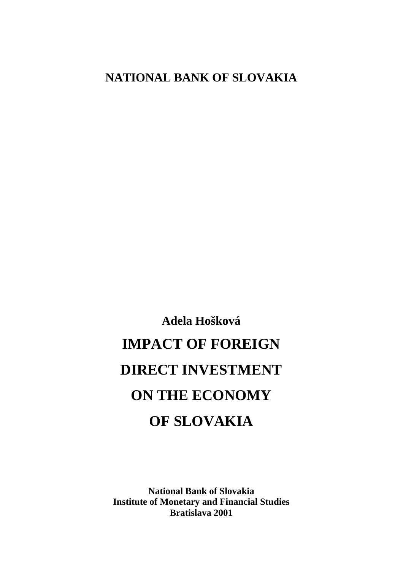# **NATIONAL BANK OF SLOVAKIA**

**Adela Hošková IMPACT OF FOREIGN DIRECT INVESTMENT ON THE ECONOMY OF SLOVAKIA**

**National Bank of Slovakia Institute of Monetary and Financial Studies Bratislava 2001**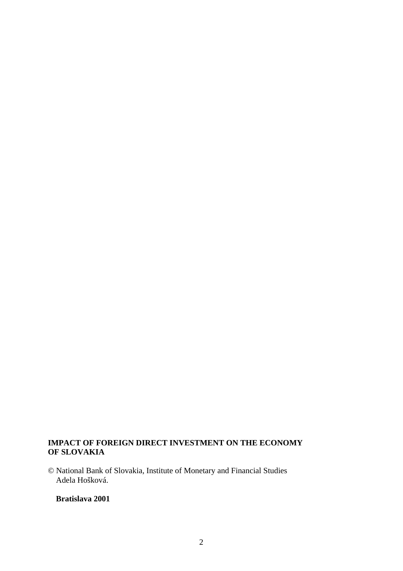# **IMPACT OF FOREIGN DIRECT INVESTMENT ON THE ECONOMY OF SLOVAKIA**

© National Bank of Slovakia, Institute of Monetary and Financial Studies Adela Hošková.

# **Bratislava 2001**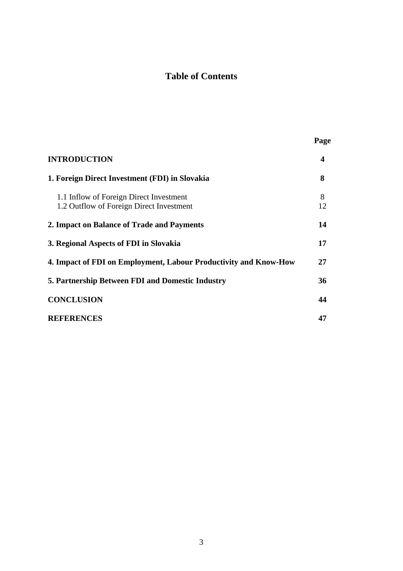# **Table of Contents**

|                                                                                     | Page    |
|-------------------------------------------------------------------------------------|---------|
| <b>INTRODUCTION</b>                                                                 | 4       |
| 1. Foreign Direct Investment (FDI) in Slovakia                                      | 8       |
| 1.1 Inflow of Foreign Direct Investment<br>1.2 Outflow of Foreign Direct Investment | 8<br>12 |
| 2. Impact on Balance of Trade and Payments                                          | 14      |
| 3. Regional Aspects of FDI in Slovakia                                              | 17      |
| 4. Impact of FDI on Employment, Labour Productivity and Know-How                    | 27      |
| <b>5. Partnership Between FDI and Domestic Industry</b>                             | 36      |
| <b>CONCLUSION</b>                                                                   | 44      |
| <b>REFERENCES</b>                                                                   | 47      |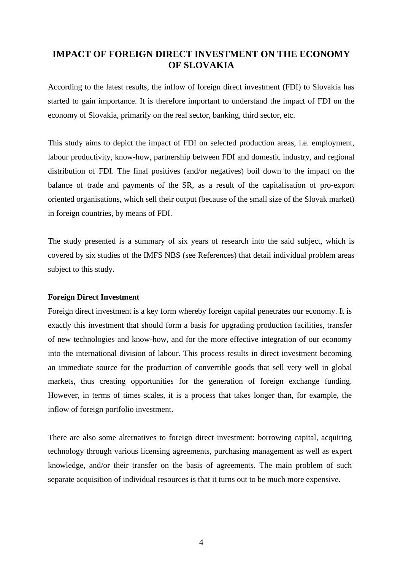# **IMPACT OF FOREIGN DIRECT INVESTMENT ON THE ECONOMY OF SLOVAKIA**

According to the latest results, the inflow of foreign direct investment (FDI) to Slovakia has started to gain importance. It is therefore important to understand the impact of FDI on the economy of Slovakia, primarily on the real sector, banking, third sector, etc.

This study aims to depict the impact of FDI on selected production areas, i.e. employment, labour productivity, know-how, partnership between FDI and domestic industry, and regional distribution of FDI. The final positives (and/or negatives) boil down to the impact on the balance of trade and payments of the SR, as a result of the capitalisation of pro-export oriented organisations, which sell their output (because of the small size of the Slovak market) in foreign countries, by means of FDI.

The study presented is a summary of six years of research into the said subject, which is covered by six studies of the IMFS NBS (see References) that detail individual problem areas subject to this study.

### **Foreign Direct Investment**

Foreign direct investment is a key form whereby foreign capital penetrates our economy. It is exactly this investment that should form a basis for upgrading production facilities, transfer of new technologies and know-how, and for the more effective integration of our economy into the international division of labour. This process results in direct investment becoming an immediate source for the production of convertible goods that sell very well in global markets, thus creating opportunities for the generation of foreign exchange funding. However, in terms of times scales, it is a process that takes longer than, for example, the inflow of foreign portfolio investment.

There are also some alternatives to foreign direct investment: borrowing capital, acquiring technology through various licensing agreements, purchasing management as well as expert knowledge, and/or their transfer on the basis of agreements. The main problem of such separate acquisition of individual resources is that it turns out to be much more expensive.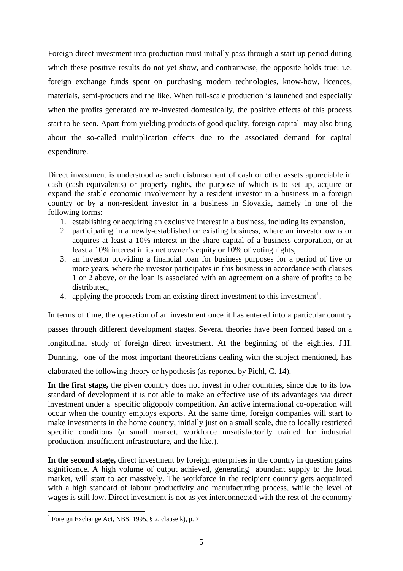Foreign direct investment into production must initially pass through a start-up period during which these positive results do not yet show, and contrariwise, the opposite holds true: i.e. foreign exchange funds spent on purchasing modern technologies, know-how, licences, materials, semi-products and the like. When full-scale production is launched and especially when the profits generated are re-invested domestically, the positive effects of this process start to be seen. Apart from yielding products of good quality, foreign capital may also bring about the so-called multiplication effects due to the associated demand for capital expenditure.

Direct investment is understood as such disbursement of cash or other assets appreciable in cash (cash equivalents) or property rights, the purpose of which is to set up, acquire or expand the stable economic involvement by a resident investor in a business in a foreign country or by a non-resident investor in a business in Slovakia, namely in one of the following forms:

- 1. establishing or acquiring an exclusive interest in a business, including its expansion,
- 2. participating in a newly-established or existing business, where an investor owns or acquires at least a 10% interest in the share capital of a business corporation, or at least a 10% interest in its net owner's equity or 10% of voting rights,
- 3. an investor providing a financial loan for business purposes for a period of five or more years, where the investor participates in this business in accordance with clauses 1 or 2 above, or the loan is associated with an agreement on a share of profits to be distributed,
- 4. applying the proceeds from an existing direct investment to this investment<sup>1</sup>.

In terms of time, the operation of an investment once it has entered into a particular country passes through different development stages. Several theories have been formed based on a longitudinal study of foreign direct investment. At the beginning of the eighties, J.H. Dunning, one of the most important theoreticians dealing with the subject mentioned, has elaborated the following theory or hypothesis (as reported by Pichl, C. 14).

In the first stage, the given country does not invest in other countries, since due to its low standard of development it is not able to make an effective use of its advantages via direct investment under a specific oligopoly competition. An active international co-operation will occur when the country employs exports. At the same time, foreign companies will start to make investments in the home country, initially just on a small scale, due to locally restricted specific conditions (a small market, workforce unsatisfactorily trained for industrial production, insufficient infrastructure, and the like.).

**In the second stage,** direct investment by foreign enterprises in the country in question gains significance. A high volume of output achieved, generating abundant supply to the local market, will start to act massively. The workforce in the recipient country gets acquainted with a high standard of labour productivity and manufacturing process, while the level of wages is still low. Direct investment is not as yet interconnected with the rest of the economy

 1 Foreign Exchange Act, NBS, 1995, § 2, clause k), p. 7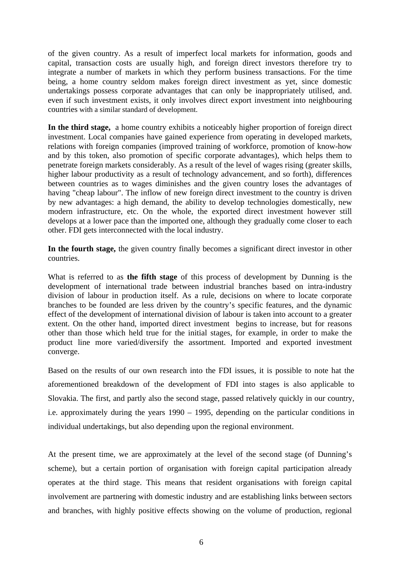of the given country. As a result of imperfect local markets for information, goods and capital, transaction costs are usually high, and foreign direct investors therefore try to integrate a number of markets in which they perform business transactions. For the time being, a home country seldom makes foreign direct investment as yet, since domestic undertakings possess corporate advantages that can only be inappropriately utilised, and. even if such investment exists, it only involves direct export investment into neighbouring countries with a similar standard of development.

**In the third stage,** a home country exhibits a noticeably higher proportion of foreign direct investment. Local companies have gained experience from operating in developed markets, relations with foreign companies (improved training of workforce, promotion of know-how and by this token, also promotion of specific corporate advantages), which helps them to penetrate foreign markets considerably. As a result of the level of wages rising (greater skills, higher labour productivity as a result of technology advancement, and so forth), differences between countries as to wages diminishes and the given country loses the advantages of having "cheap labour". The inflow of new foreign direct investment to the country is driven by new advantages: a high demand, the ability to develop technologies domestically, new modern infrastructure, etc. On the whole, the exported direct investment however still develops at a lower pace than the imported one, although they gradually come closer to each other. FDI gets interconnected with the local industry.

**In the fourth stage,** the given country finally becomes a significant direct investor in other countries.

What is referred to as **the fifth stage** of this process of development by Dunning is the development of international trade between industrial branches based on intra-industry division of labour in production itself. As a rule, decisions on where to locate corporate branches to be founded are less driven by the country's specific features, and the dynamic effect of the development of international division of labour is taken into account to a greater extent. On the other hand, imported direct investment begins to increase, but for reasons other than those which held true for the initial stages, for example, in order to make the product line more varied/diversify the assortment. Imported and exported investment converge.

Based on the results of our own research into the FDI issues, it is possible to note hat the aforementioned breakdown of the development of FDI into stages is also applicable to Slovakia. The first, and partly also the second stage, passed relatively quickly in our country, i.e. approximately during the years 1990 – 1995, depending on the particular conditions in individual undertakings, but also depending upon the regional environment.

At the present time, we are approximately at the level of the second stage (of Dunning's scheme), but a certain portion of organisation with foreign capital participation already operates at the third stage. This means that resident organisations with foreign capital involvement are partnering with domestic industry and are establishing links between sectors and branches, with highly positive effects showing on the volume of production, regional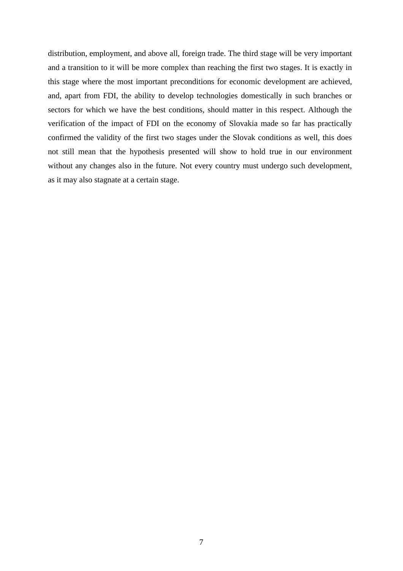distribution, employment, and above all, foreign trade. The third stage will be very important and a transition to it will be more complex than reaching the first two stages. It is exactly in this stage where the most important preconditions for economic development are achieved, and, apart from FDI, the ability to develop technologies domestically in such branches or sectors for which we have the best conditions, should matter in this respect. Although the verification of the impact of FDI on the economy of Slovakia made so far has practically confirmed the validity of the first two stages under the Slovak conditions as well, this does not still mean that the hypothesis presented will show to hold true in our environment without any changes also in the future. Not every country must undergo such development, as it may also stagnate at a certain stage.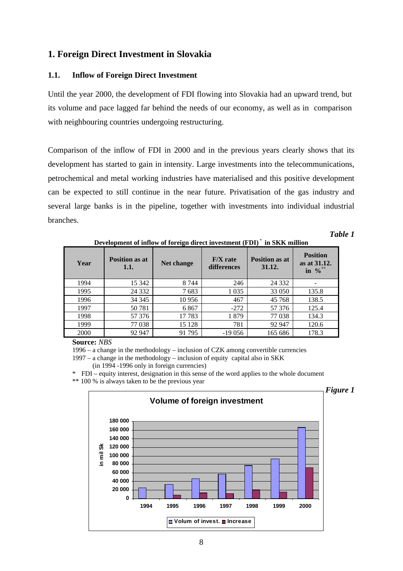# **1. Foreign Direct Investment in Slovakia**

# **1.1. Inflow of Foreign Direct Investment**

Until the year 2000, the development of FDI flowing into Slovakia had an upward trend, but its volume and pace lagged far behind the needs of our economy, as well as in comparison with neighbouring countries undergoing restructuring.

Comparison of the inflow of FDI in 2000 and in the previous years clearly shows that its development has started to gain in intensity. Large investments into the telecommunications, petrochemical and metal working industries have materialised and this positive development can be expected to still continue in the near future. Privatisation of the gas industry and several large banks is in the pipeline, together with investments into individual industrial branches.

| Year | <b>Position as at</b><br>1.1. | Net change | $F/X$ rate<br>differences | <b>Position as at</b><br>31.12. | <b>Position</b><br>as at 31.12.<br>$\sqrt{0}$ <sup>**</sup><br>in |
|------|-------------------------------|------------|---------------------------|---------------------------------|-------------------------------------------------------------------|
| 1994 | 15 342                        | 8 7 4 4    | 246                       | 24 3 32                         |                                                                   |
| 1995 | 24 3 32                       | 7683       | 1 0 3 5                   | 33 050                          | 135.8                                                             |
| 1996 | 34 345                        | 10 956     | 467                       | 45 768                          | 138.5                                                             |
| 1997 | 50781                         | 6867       | $-272$                    | 57 37 6                         | 125.4                                                             |
| 1998 | 57 376                        | 17783      | 1879                      | 77 038                          | 134.3                                                             |
| 1999 | 77 038                        | 15 1 28    | 781                       | 92 947                          | 120.6                                                             |
| 2000 | 92 947                        | 91 795     | $-19056$                  | 165 686                         | 178.3                                                             |

**Development of inflow of foreign direct investment (FDI)** \* **in SKK million**

*Table 1*

**Source:** *NBS*

1996 – a change in the methodology – inclusion of CZK among convertible currencies

1997 – a change in the methodology – inclusion of equity capital also in SKK (in 1994 -1996 only in foreign currencies)

 $*$  FDI – equity interest, designation in this sense of the word applies to the whole document  $*$  100 % is always taken to be the previous year

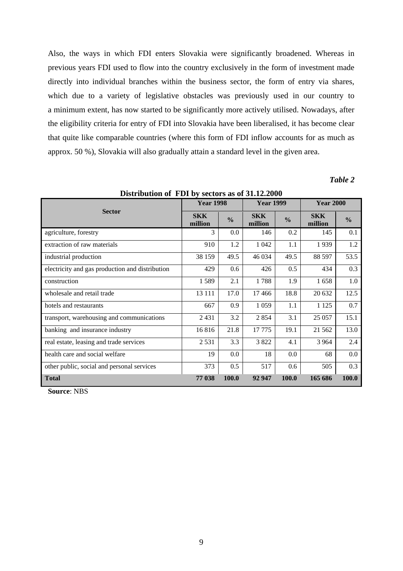Also, the ways in which FDI enters Slovakia were significantly broadened. Whereas in previous years FDI used to flow into the country exclusively in the form of investment made directly into individual branches within the business sector, the form of entry via shares, which due to a variety of legislative obstacles was previously used in our country to a minimum extent, has now started to be significantly more actively utilised. Nowadays, after the eligibility criteria for entry of FDI into Slovakia have been liberalised, it has become clear that quite like comparable countries (where this form of FDI inflow accounts for as much as approx. 50 %), Slovakia will also gradually attain a standard level in the given area.

# *Table 2*

|                                                 |                       | <b>Year 1998</b> |                       | <b>Year 1999</b> |                       | <b>Year 2000</b> |  |
|-------------------------------------------------|-----------------------|------------------|-----------------------|------------------|-----------------------|------------------|--|
| <b>Sector</b>                                   | <b>SKK</b><br>million | $\frac{0}{0}$    | <b>SKK</b><br>million | $\frac{0}{0}$    | <b>SKK</b><br>million | $\frac{0}{0}$    |  |
| agriculture, forestry                           | 3                     | $0.0\,$          | 146                   | 0.2              | 145                   | 0.1              |  |
| extraction of raw materials                     | 910                   | 1.2              | 1 0 4 2               | 1.1              | 1939                  | 1.2              |  |
| industrial production                           | 38 159                | 49.5             | 46 0 34               | 49.5             | 88 597                | 53.5             |  |
| electricity and gas production and distribution | 429                   | 0.6              | 426                   | 0.5              | 434                   | 0.3              |  |
| construction                                    | 1589                  | 2.1              | 1788                  | 1.9              | 1658                  | 1.0              |  |
| wholesale and retail trade                      | 13 111                | 17.0             | 17466                 | 18.8             | 20 632                | 12.5             |  |
| hotels and restaurants                          | 667                   | 0.9              | 1 0 5 9               | 1.1              | 1 1 2 5               | 0.7              |  |
| transport, warehousing and communications       | 2 4 3 1               | 3.2              | 2 8 5 4               | 3.1              | 25 057                | 15.1             |  |
| banking and insurance industry                  | 16816                 | 21.8             | 17775                 | 19.1             | 21 5 62               | 13.0             |  |
| real estate, leasing and trade services         | 2531                  | 3.3              | 3822                  | 4.1              | 3 9 6 4               | 2.4              |  |
| health care and social welfare                  | 19                    | 0.0              | 18                    | 0.0              | 68                    | 0.0              |  |
| other public, social and personal services      | 373                   | 0.5              | 517                   | 0.6              | 505                   | 0.3              |  |
| <b>Total</b>                                    | 77 038                | 100.0            | 92 947                | 100.0            | 165 686               | 100.0            |  |

**Distribution of FDI by sectors as of 31.12.2000**

**Source**: NBS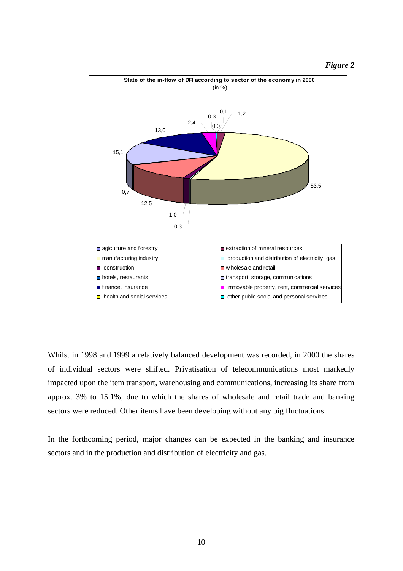*Figure 2*



Whilst in 1998 and 1999 a relatively balanced development was recorded, in 2000 the shares of individual sectors were shifted. Privatisation of telecommunications most markedly impacted upon the item transport, warehousing and communications, increasing its share from approx. 3% to 15.1%, due to which the shares of wholesale and retail trade and banking sectors were reduced. Other items have been developing without any big fluctuations.

In the forthcoming period, major changes can be expected in the banking and insurance sectors and in the production and distribution of electricity and gas.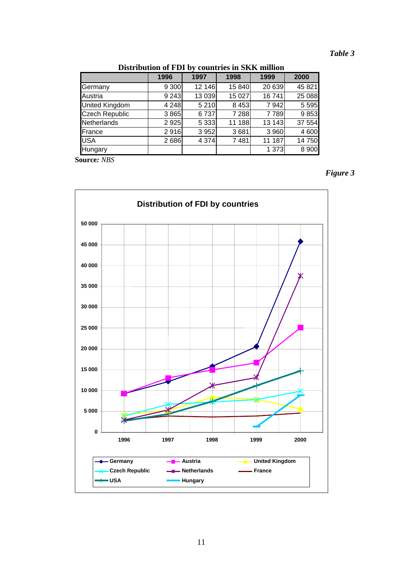# *Table 3*

|                       | 1996    | 1997    | 1998    | 1999    | 2000    |
|-----------------------|---------|---------|---------|---------|---------|
| Germany               | 9 3 0 0 | 12 14 6 | 15 840  | 20 639  | 45 821  |
| Austria               | 9 2 4 3 | 13 0 39 | 15 0 27 | 16741   | 25 088  |
| <b>United Kingdom</b> | 4 2 4 8 | 5 2 1 0 | 8 4 5 3 | 7942    | 5 5 9 5 |
| <b>Czech Republic</b> | 3 8 6 5 | 6737    | 7 2 8 8 | 7789    | 9853    |
| <b>Netherlands</b>    | 2 9 2 5 | 5 3 3 3 | 11 188  | 13 143  | 37 554  |
| France                | 2916    | 3 9 5 2 | 3681    | 3 9 6 0 | 4 600   |
| <b>USA</b>            | 2686    | 4 3 7 4 | 7481    | 11 187  | 14 750  |
| Hungary               |         |         |         | 1 373   | 8 9 0 0 |

**Source***: NBS*



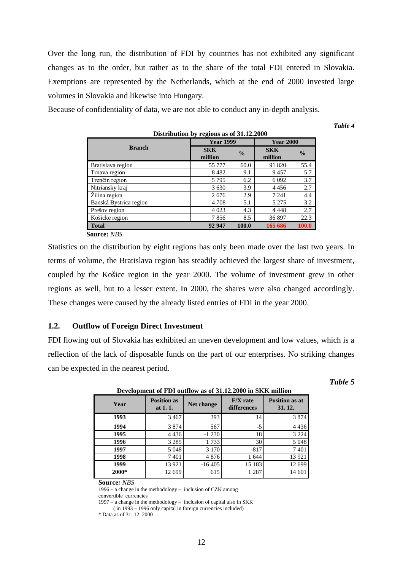Over the long run, the distribution of FDI by countries has not exhibited any significant changes as to the order, but rather as to the share of the total FDI entered in Slovakia. Exemptions are represented by the Netherlands, which at the end of 2000 invested large volumes in Slovakia and likewise into Hungary.

Because of confidentiality of data, we are not able to conduct any in-depth analysis.

*Table 4*

| Distribution by regions as of 31.12.2000 |                       |               |                       |               |  |  |
|------------------------------------------|-----------------------|---------------|-----------------------|---------------|--|--|
|                                          | <b>Year 1999</b>      |               | <b>Year 2000</b>      |               |  |  |
| <b>Branch</b>                            | <b>SKK</b><br>million | $\frac{0}{0}$ | <b>SKK</b><br>million | $\frac{0}{0}$ |  |  |
| Bratislava region                        | 55 777                | 60.0          | 91 820                | 55.4          |  |  |
| Trnava region                            | 8482                  | 9.1           | 9457                  | 5.7           |  |  |
| Trenčín region                           | 5795                  | 6.2           | 6 0 9 2               | 3.7           |  |  |
| Nitriansky kraj                          | 3630                  | 3.9           | 4456                  | 2.7           |  |  |
| Žilina region                            | 2676                  | 2.9           | 7 2 4 1               | 4.4           |  |  |
| Banská Bystrica region                   | 4 7 0 8               | 5.1           | 5 2 7 5               | 3.2           |  |  |
| Prešov region                            | 4 0 23                | 4.3           | 4 4 4 8               | 2.7           |  |  |
| Košicke region                           | 7856                  | 8.5           | 36897                 | 22.3          |  |  |
| <b>Total</b>                             | 92 947                | 100.0         | 165 686               | 100.0         |  |  |
| <b>Source: NBS</b>                       |                       |               |                       |               |  |  |

Statistics on the distribution by eight regions has only been made over the last two years. In terms of volume, the Bratislava region has steadily achieved the largest share of investment, coupled by the Košice region in the year 2000. The volume of investment grew in other regions as well, but to a lesser extent. In 2000, the shares were also changed accordingly. These changes were caused by the already listed entries of FDI in the year 2000.

# **1.2. Outflow of Foreign Direct Investment**

FDI flowing out of Slovakia has exhibited an uneven development and low values, which is a reflection of the lack of disposable funds on the part of our enterprises. No striking changes can be expected in the nearest period.

*Table 5*

| Development of FDI outflow as of 91.12.2000 in SIXIX humon |                                  |            |                           |                                 |  |  |  |
|------------------------------------------------------------|----------------------------------|------------|---------------------------|---------------------------------|--|--|--|
| Year                                                       | <b>Position as</b><br>at $1.1$ . | Net change | $F/X$ rate<br>differences | <b>Position as at</b><br>31.12. |  |  |  |
| 1993                                                       | 3467                             | 393        | 14                        | 3 8 7 4                         |  |  |  |
| 1994                                                       | 3874                             | 567        | $-5$                      | 4 4 3 6                         |  |  |  |
| 1995                                                       | 4 4 3 6                          | $-1230$    | 18                        | 3 2 2 4                         |  |  |  |
| 1996                                                       | 3 2 8 5                          | 1733       | 30                        | 5 0 4 8                         |  |  |  |
| 1997                                                       | 5 0 4 8                          | 3 1 7 0    | $-817$                    | 7401                            |  |  |  |
| 1998                                                       | 7401                             | 4876       | 1 644                     | 13 9 21                         |  |  |  |
| 1999                                                       | 13 921                           | $-16405$   | 15 183                    | 12 699                          |  |  |  |
| 2000*                                                      | 12 699                           | 615        | 1 2 8 7                   | 14 601                          |  |  |  |

# **Development of FDI outflow as of 31.12.2000 in SKK million**

**Source***: NBS*

1996 – a change in the methodology – inclusion of CZK among convertible currencies

1997 – a change in the methodology – inclusion of capital also in SKK

( in 1993 – 1996 only capital in foreign currencies included)

<sup>\*</sup> Data as of 31. 12. 2000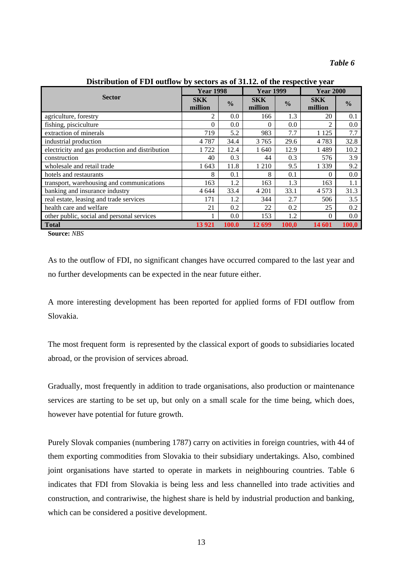|                                                 | <b>Year 1998</b>      |               | <b>Year 1999</b>      |               | <b>Year 2000</b>      |               |
|-------------------------------------------------|-----------------------|---------------|-----------------------|---------------|-----------------------|---------------|
| <b>Sector</b>                                   | <b>SKK</b><br>million | $\frac{0}{0}$ | <b>SKK</b><br>million | $\frac{6}{6}$ | <b>SKK</b><br>million | $\frac{0}{0}$ |
| agriculture, forestry                           | 2                     | 0.0           | 166                   | 1.3           | 20                    | 0.1           |
| fishing, pisciculture                           | $\mathbf{0}$          | 0.0           | $\theta$              | 0.0           | $\mathfrak{D}$        | 0.0           |
| extraction of minerals                          | 719                   | 5.2           | 983                   | 7.7           | 1 1 2 5               | 7.7           |
| industrial production                           | 4787                  | 34.4          | 3765                  | 29.6          | 4783                  | 32.8          |
| electricity and gas production and distribution | 1722                  | 12.4          | 1 640                 | 12.9          | 1489                  | 10.2          |
| construction                                    | 40                    | 0.3           | 44                    | 0.3           | 576                   | 3.9           |
| wholesale and retail trade                      | 1 643                 | 11.8          | 1 2 1 0               | 9.5           | 1 3 3 9               | 9.2           |
| hotels and restaurants                          | 8                     | 0.1           | 8                     | 0.1           | $\Omega$              | 0.0           |
| transport, warehousing and communications       | 163                   | 1.2           | 163                   | 1.3           | 163                   | 1.1           |
| banking and insurance industry                  | 4 6 4 4               | 33.4          | 4 2 0 1               | 33.1          | 4573                  | 31.3          |
| real estate, leasing and trade services         | 171                   | 1.2           | 344                   | 2.7           | 506                   | 3.5           |
| health care and welfare                         | 21                    | 0.2           | 22                    | 0.2           | 25                    | 0.2           |
| other public, social and personal services      |                       | 0.0           | 153                   | 1.2           | $\Omega$              | $0.0\,$       |
| <b>Total</b>                                    | 13 921                | 100.0         | 12 699                | <b>100.0</b>  | 14 601                | 100,0         |

**Distribution of FDI outflow by sectors as of 31.12. of the respective year**

**Source:** *NBS*

As to the outflow of FDI, no significant changes have occurred compared to the last year and no further developments can be expected in the near future either.

A more interesting development has been reported for applied forms of FDI outflow from Slovakia.

The most frequent form is represented by the classical export of goods to subsidiaries located abroad, or the provision of services abroad.

Gradually, most frequently in addition to trade organisations, also production or maintenance services are starting to be set up, but only on a small scale for the time being, which does, however have potential for future growth.

Purely Slovak companies (numbering 1787) carry on activities in foreign countries, with 44 of them exporting commodities from Slovakia to their subsidiary undertakings. Also, combined joint organisations have started to operate in markets in neighbouring countries. Table 6 indicates that FDI from Slovakia is being less and less channelled into trade activities and construction, and contrariwise, the highest share is held by industrial production and banking, which can be considered a positive development.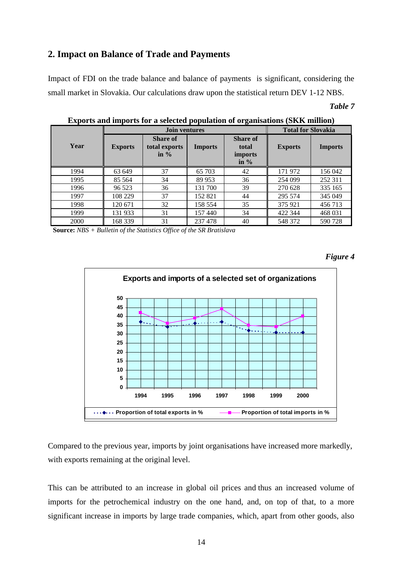# **2. Impact on Balance of Trade and Payments**

Impact of FDI on the trade balance and balance of payments is significant, considering the small market in Slovakia. Our calculations draw upon the statistical return DEV 1-12 NBS.

# *Table 7*

|      | <b>Join ventures</b> |                                             |                | <b>Total for Slovakia</b>                      |                |                |
|------|----------------------|---------------------------------------------|----------------|------------------------------------------------|----------------|----------------|
| Year | <b>Exports</b>       | <b>Share of</b><br>total exports<br>in $\%$ | <b>Imports</b> | <b>Share of</b><br>total<br>imports<br>in $\%$ | <b>Exports</b> | <b>Imports</b> |
| 1994 | 63 649               | 37                                          | 65 703         | 42                                             | 171972         | 156 042        |
| 1995 | 85 5 64              | 34                                          | 89 953         | 36                                             | 254 099        | 252 311        |
| 1996 | 96 523               | 36                                          | 131 700        | 39                                             | 270 628        | 335 165        |
| 1997 | 108 229              | 37                                          | 152 821        | 44                                             | 295 574        | 345 049        |
| 1998 | 120 671              | 32                                          | 158 554        | 35                                             | 375 921        | 456 713        |
| 1999 | 131 933              | 31                                          | 157440         | 34                                             | 422 344        | 468 031        |
| 2000 | 168 339              | 31                                          | 237 478        | 40                                             | 548 372        | 590728         |

**Exports and imports for a selected population of organisations (SKK million)**

 **Source:** *NBS + Bulletin of the Statistics Office of the SR Bratislava*

*Figure 4*



Compared to the previous year, imports by joint organisations have increased more markedly, with exports remaining at the original level.

This can be attributed to an increase in global oil prices and thus an increased volume of imports for the petrochemical industry on the one hand, and, on top of that, to a more significant increase in imports by large trade companies, which, apart from other goods, also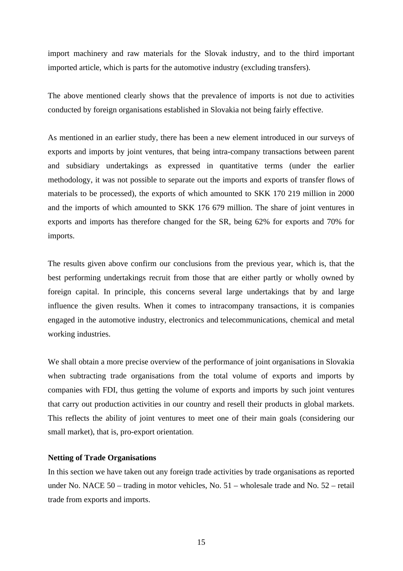import machinery and raw materials for the Slovak industry, and to the third important imported article, which is parts for the automotive industry (excluding transfers).

The above mentioned clearly shows that the prevalence of imports is not due to activities conducted by foreign organisations established in Slovakia not being fairly effective.

As mentioned in an earlier study, there has been a new element introduced in our surveys of exports and imports by joint ventures, that being intra-company transactions between parent and subsidiary undertakings as expressed in quantitative terms (under the earlier methodology, it was not possible to separate out the imports and exports of transfer flows of materials to be processed), the exports of which amounted to SKK 170 219 million in 2000 and the imports of which amounted to SKK 176 679 million. The share of joint ventures in exports and imports has therefore changed for the SR, being 62% for exports and 70% for imports.

The results given above confirm our conclusions from the previous year, which is, that the best performing undertakings recruit from those that are either partly or wholly owned by foreign capital. In principle, this concerns several large undertakings that by and large influence the given results. When it comes to intracompany transactions, it is companies engaged in the automotive industry, electronics and telecommunications, chemical and metal working industries.

We shall obtain a more precise overview of the performance of joint organisations in Slovakia when subtracting trade organisations from the total volume of exports and imports by companies with FDI, thus getting the volume of exports and imports by such joint ventures that carry out production activities in our country and resell their products in global markets. This reflects the ability of joint ventures to meet one of their main goals (considering our small market), that is, pro-export orientation.

## **Netting of Trade Organisations**

In this section we have taken out any foreign trade activities by trade organisations as reported under No. NACE 50 – trading in motor vehicles, No. 51 – wholesale trade and No. 52 – retail trade from exports and imports.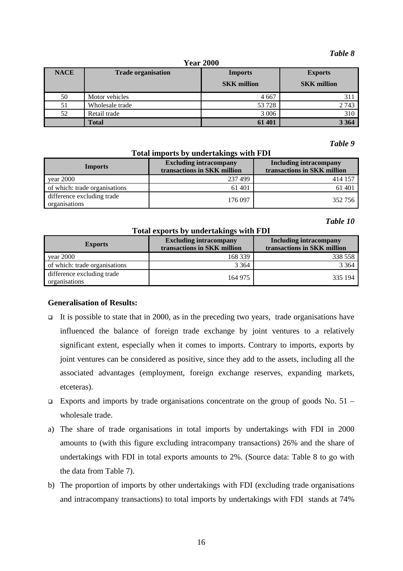#### *Table 8*

| <b>Year 2000</b> |
|------------------|
|                  |

| <b>NACE</b> | <b>Trade organisation</b> | T CHT TAA<br><b>Imports</b><br><b>SKK</b> million | <b>Exports</b><br><b>SKK</b> million |
|-------------|---------------------------|---------------------------------------------------|--------------------------------------|
| 50          | Motor vehicles            | 4 6 6 7                                           | 311                                  |
| 51          | Wholesale trade           | 53 728                                            | 2743                                 |
| 52          | Retail trade              | 3 0 0 6                                           | 310                                  |
|             | <b>Total</b>              | 61 401                                            | 3 3 6 4                              |

*Table 9*

# **Total imports by undertakings with FDI**

| <b>Imports</b>                              | <b>Excluding intracompany</b><br>transactions in SKK million | <b>Including intracompany</b><br>transactions in SKK million |  |
|---------------------------------------------|--------------------------------------------------------------|--------------------------------------------------------------|--|
| year 2000                                   | 237499                                                       | 414 157                                                      |  |
| of which: trade organisations               | 61 401                                                       | 61 401                                                       |  |
| difference excluding trade<br>organisations | 176 097                                                      | 352 756                                                      |  |

# *Table 10*

### **Total exports by undertakings with FDI**

| <b>Exports</b>                              | <b>Excluding intracompany</b><br>transactions in SKK million | <b>Including intracompany</b><br>transactions in SKK million |
|---------------------------------------------|--------------------------------------------------------------|--------------------------------------------------------------|
| year 2000                                   | 168 339                                                      | 338 558                                                      |
| of which: trade organisations               | 3 3 6 4                                                      | 3 3 6 4                                                      |
| difference excluding trade<br>organisations | 164 975                                                      | 335 194                                                      |

# **Generalisation of Results:**

- It is possible to state that in 2000, as in the preceding two years, trade organisations have influenced the balance of foreign trade exchange by joint ventures to a relatively significant extent, especially when it comes to imports. Contrary to imports, exports by joint ventures can be considered as positive, since they add to the assets, including all the associated advantages (employment, foreign exchange reserves, expanding markets, etceteras).
- Exports and imports by trade organisations concentrate on the group of goods No.  $51$ wholesale trade.
- a) The share of trade organisations in total imports by undertakings with FDI in 2000 amounts to (with this figure excluding intracompany transactions) 26% and the share of undertakings with FDI in total exports amounts to 2%. (Source data: Table 8 to go with the data from Table 7).
- b) The proportion of imports by other undertakings with FDI (excluding trade organisations and intracompany transactions) to total imports by undertakings with FDI stands at 74%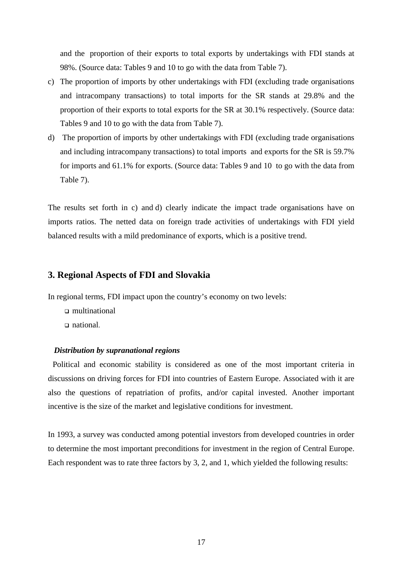and the proportion of their exports to total exports by undertakings with FDI stands at 98%. (Source data: Tables 9 and 10 to go with the data from Table 7).

- c) The proportion of imports by other undertakings with FDI (excluding trade organisations and intracompany transactions) to total imports for the SR stands at 29.8% and the proportion of their exports to total exports for the SR at 30.1% respectively. (Source data: Tables 9 and 10 to go with the data from Table 7).
- d) The proportion of imports by other undertakings with FDI (excluding trade organisations and including intracompany transactions) to total imports and exports for the SR is 59.7% for imports and 61.1% for exports. (Source data: Tables 9 and 10 to go with the data from Table 7).

The results set forth in c) and d) clearly indicate the impact trade organisations have on imports ratios. The netted data on foreign trade activities of undertakings with FDI yield balanced results with a mild predominance of exports, which is a positive trend.

# **3. Regional Aspects of FDI and Slovakia**

In regional terms, FDI impact upon the country's economy on two levels:

- multinational
- national.

#### *Distribution by supranational regions*

Political and economic stability is considered as one of the most important criteria in discussions on driving forces for FDI into countries of Eastern Europe. Associated with it are also the questions of repatriation of profits, and/or capital invested. Another important incentive is the size of the market and legislative conditions for investment.

In 1993, a survey was conducted among potential investors from developed countries in order to determine the most important preconditions for investment in the region of Central Europe. Each respondent was to rate three factors by 3, 2, and 1, which yielded the following results: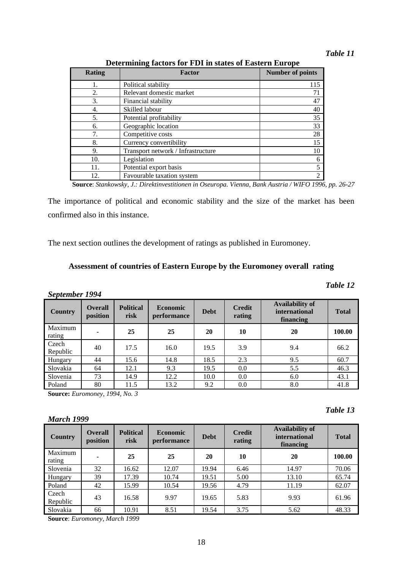| Determining factors for FDI in states of Eastern Europe |  |  |  |  |
|---------------------------------------------------------|--|--|--|--|
|                                                         |  |  |  |  |

| <b>Rating</b> | <b>Factor</b>                      | <b>Number of points</b> |
|---------------|------------------------------------|-------------------------|
|               | Political stability                | 115                     |
| 2.            | Relevant domestic market           | 71                      |
| 3.            | Financial stability                | 47                      |
| 4.            | Skilled labour                     | 40                      |
| 5.            | Potential profitability            | 35                      |
| 6.            | Geographic location                | 33                      |
| 7.            | Competitive costs                  | 28                      |
| 8.            | Currency convertibility            | 15                      |
| 9.            | Transport network / Infrastructure | 10                      |
| 10.           | Legislation                        | 6                       |
| 11.           | Potential export basis             | 5                       |
| 12.           | Favourable taxation system         | $\overline{2}$          |

**Source**: *Stankowsky, J.: Direktinvestitionen in Oseuropa. Vienna, Bank Austria / WIFO 1996, pp. 26-27*

The importance of political and economic stability and the size of the market has been confirmed also in this instance.

The next section outlines the development of ratings as published in Euromoney.

# **Assessment of countries of Eastern Europe by the Euromoney overall rating**

# *September 1994*

| Country           | <b>Overall</b><br>position | <b>Political</b><br>risk | <b>Economic</b><br><i>performance</i> | <b>Debt</b> | <b>Credit</b><br>rating | <b>Availability of</b><br><i>international</i><br>financing | <b>Total</b> |
|-------------------|----------------------------|--------------------------|---------------------------------------|-------------|-------------------------|-------------------------------------------------------------|--------------|
| Maximum<br>rating | $\overline{\phantom{a}}$   | 25                       | 25                                    | 20          | 10                      | 20                                                          | 100.00       |
| Czech<br>Republic | 40                         | 17.5                     | 16.0                                  | 19.5        | 3.9                     | 9.4                                                         | 66.2         |
| Hungary           | 44                         | 15.6                     | 14.8                                  | 18.5        | 2.3                     | 9.5                                                         | 60.7         |
| Slovakia          | 64                         | 12.1                     | 9.3                                   | 19.5        | 0.0                     | 5.5                                                         | 46.3         |
| Slovenia          | 73                         | 14.9                     | 12.2                                  | 10.0        | 0.0                     | 6.0                                                         | 43.1         |
| Poland            | 80                         | 11.5                     | 13.2                                  | 9.2         | 0.0                     | 8.0                                                         | 41.8         |

**Source:** *Euromoney, 1994, No. 3*

# *March 1999*

| <b>Country</b>    | <b>Overall</b><br>position | <b>Political</b><br>risk | <b>Economic</b><br>performance | <b>Debt</b> | <b>Credit</b><br>rating | <b>Availability of</b><br>international<br>financing | <b>Total</b> |
|-------------------|----------------------------|--------------------------|--------------------------------|-------------|-------------------------|------------------------------------------------------|--------------|
| Maximum<br>rating | $\overline{\phantom{0}}$   | 25                       | 25                             | 20          | 10                      | 20                                                   | 100.00       |
| Slovenia          | 32                         | 16.62                    | 12.07                          | 19.94       | 6.46                    | 14.97                                                | 70.06        |
| Hungary           | 39                         | 17.39                    | 10.74                          | 19.51       | 5.00                    | 13.10                                                | 65.74        |
| Poland            | 42                         | 15.99                    | 10.54                          | 19.56       | 4.79                    | 11.19                                                | 62.07        |
| Czech<br>Republic | 43                         | 16.58                    | 9.97                           | 19.65       | 5.83                    | 9.93                                                 | 61.96        |
| Slovakia          | 66                         | 10.91                    | 8.51                           | 19.54       | 3.75                    | 5.62                                                 | 48.33        |

18

**Source**: *Euromoney, March 1999*

# *Table 12*

# *Table 13*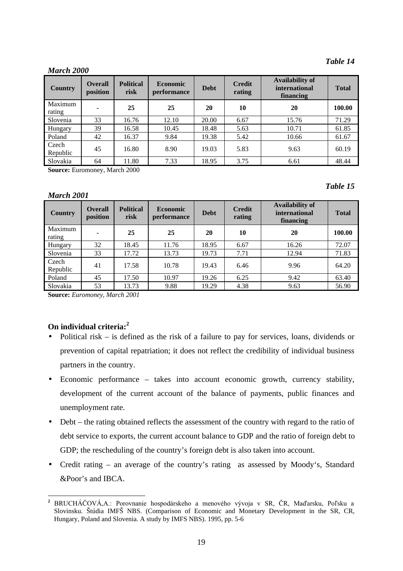#### *March 2000*

*March 2001*

| <b>Country</b>    | <b>Overall</b><br>position | <b>Political</b><br>risk | <b>Economic</b><br><i>performance</i> | <b>Debt</b> | <b>Credit</b><br>rating | <b>Availability of</b><br><i>international</i><br>financing | <b>Total</b> |
|-------------------|----------------------------|--------------------------|---------------------------------------|-------------|-------------------------|-------------------------------------------------------------|--------------|
| Maximum<br>rating |                            | 25                       | 25                                    | 20          | 10                      | 20                                                          | 100.00       |
| Slovenia          | 33                         | 16.76                    | 12.10                                 | 20.00       | 6.67                    | 15.76                                                       | 71.29        |
| Hungary           | 39                         | 16.58                    | 10.45                                 | 18.48       | 5.63                    | 10.71                                                       | 61.85        |
| Poland            | 42                         | 16.37                    | 9.84                                  | 19.38       | 5.42                    | 10.66                                                       | 61.67        |
| Czech<br>Republic | 45                         | 16.80                    | 8.90                                  | 19.03       | 5.83                    | 9.63                                                        | 60.19        |
| Slovakia          | 64                         | 11.80                    | 7.33                                  | 18.95       | 3.75                    | 6.61                                                        | 48.44        |

**Source:** Euromoney, March 2000

#### *Table 15*

| <b>Country</b>    | <b>Overall</b><br>position | <b>Political</b><br>risk | <b>Economic</b><br>performance | <b>Debt</b> | <b>Credit</b><br>rating | <b>Availability of</b><br><i>international</i><br>financing | <b>Total</b> |
|-------------------|----------------------------|--------------------------|--------------------------------|-------------|-------------------------|-------------------------------------------------------------|--------------|
| Maximum<br>rating | ٠                          | 25                       | 25                             | 20          | 10                      | 20                                                          | 100.00       |
| Hungary           | 32                         | 18.45                    | 11.76                          | 18.95       | 6.67                    | 16.26                                                       | 72.07        |
| Slovenia          | 33                         | 17.72                    | 13.73                          | 19.73       | 7.71                    | 12.94                                                       | 71.83        |
| Czech<br>Republic | 41                         | 17.58                    | 10.78                          | 19.43       | 6.46                    | 9.96                                                        | 64.20        |
| Poland            | 45                         | 17.50                    | 10.97                          | 19.26       | 6.25                    | 9.42                                                        | 63.40        |
| Slovakia          | 53                         | 13.73                    | 9.88                           | 19.29       | 4.38                    | 9.63                                                        | 56.90        |

**Source:** *Euromoney, March 2001*

# **On individual criteria:<sup>2</sup>**

- Political risk is defined as the risk of a failure to pay for services, loans, dividends or prevention of capital repatriation; it does not reflect the credibility of individual business partners in the country.
- Economic performance takes into account economic growth, currency stability, development of the current account of the balance of payments, public finances and unemployment rate.
- Debt the rating obtained reflects the assessment of the country with regard to the ratio of debt service to exports, the current account balance to GDP and the ratio of foreign debt to GDP; the rescheduling of the country's foreign debt is also taken into account.
- Credit rating an average of the country's rating as assessed by Moody's, Standard &Poor's and IBCA.

 $\overline{2}$ <sup>2</sup> BRUCHÁČOVÁ,A.: Porovnanie hospodárskeho a menového vývoja v SR, ČR, Maďarsku, Poľsku a Slovinsku. Štúdia IMFŠ NBS. (Comparison of Economic and Monetary Development in the SR, CR, Hungary, Poland and Slovenia. A study by IMFS NBS). 1995, pp. 5-6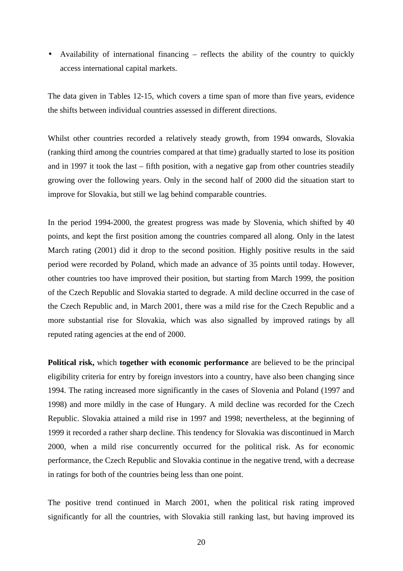• Availability of international financing – reflects the ability of the country to quickly access international capital markets.

The data given in Tables 12-15, which covers a time span of more than five years, evidence the shifts between individual countries assessed in different directions.

Whilst other countries recorded a relatively steady growth, from 1994 onwards, Slovakia (ranking third among the countries compared at that time) gradually started to lose its position and in 1997 it took the last – fifth position, with a negative gap from other countries steadily growing over the following years. Only in the second half of 2000 did the situation start to improve for Slovakia, but still we lag behind comparable countries.

In the period 1994-2000, the greatest progress was made by Slovenia, which shifted by 40 points, and kept the first position among the countries compared all along. Only in the latest March rating (2001) did it drop to the second position. Highly positive results in the said period were recorded by Poland, which made an advance of 35 points until today. However, other countries too have improved their position, but starting from March 1999, the position of the Czech Republic and Slovakia started to degrade. A mild decline occurred in the case of the Czech Republic and, in March 2001, there was a mild rise for the Czech Republic and a more substantial rise for Slovakia, which was also signalled by improved ratings by all reputed rating agencies at the end of 2000.

**Political risk,** which **together with economic performance** are believed to be the principal eligibility criteria for entry by foreign investors into a country, have also been changing since 1994. The rating increased more significantly in the cases of Slovenia and Poland (1997 and 1998) and more mildly in the case of Hungary. A mild decline was recorded for the Czech Republic. Slovakia attained a mild rise in 1997 and 1998; nevertheless, at the beginning of 1999 it recorded a rather sharp decline. This tendency for Slovakia was discontinued in March 2000, when a mild rise concurrently occurred for the political risk. As for economic performance, the Czech Republic and Slovakia continue in the negative trend, with a decrease in ratings for both of the countries being less than one point.

The positive trend continued in March 2001, when the political risk rating improved significantly for all the countries, with Slovakia still ranking last, but having improved its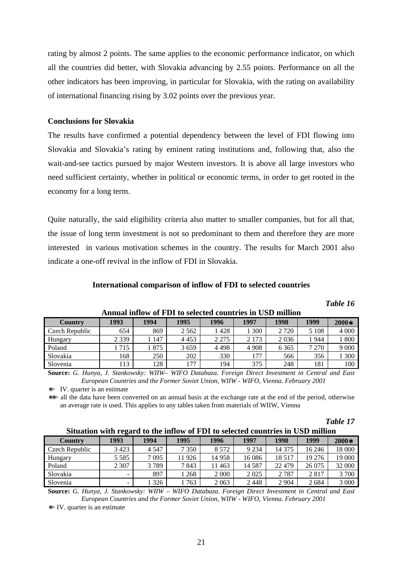rating by almost 2 points. The same applies to the economic performance indicator, on which all the countries did better, with Slovakia advancing by 2.55 points. Performance on all the other indicators has been improving, in particular for Slovakia, with the rating on availability of international financing rising by 3.02 points over the previous year.

#### **Conclusions for Slovakia**

The results have confirmed a potential dependency between the level of FDI flowing into Slovakia and Slovakia's rating by eminent rating institutions and, following that, also the wait-and-see tactics pursued by major Western investors. It is above all large investors who need sufficient certainty, whether in political or economic terms, in order to get rooted in the economy for a long term.

Quite naturally, the said eligibility criteria also matter to smaller companies, but for all that, the issue of long term investment is not so predominant to them and therefore they are more interested in various motivation schemes in the country. The results for March 2001 also indicate a one-off revival in the inflow of FDI in Slovakia.

#### **International comparison of inflow of FDI to selected countries**

*Table 16*

| Country        | 1993    | 1994  | 1995    | 1996    | 1997    | 1998    | 1999    | $2000*$ |
|----------------|---------|-------|---------|---------|---------|---------|---------|---------|
| Czech Republic | 654     | 869   | 2 5 6 2 | l 428   | 300     | 2 7 2 0 | 5 1 0 8 | 4 0 0 0 |
| Hungary        | 2 3 3 9 | 147   | 4453    | 2 2 7 5 | 2 1 7 3 | 2036    | 944     | 1800    |
| Poland         | 715     | l 875 | 3659    | 4498    | 4 9 0 8 | 6 3 6 5 | 270     | 9 0 0 0 |
| Slovakia       | 168     | 250   | 202     | 330     | 177     | 566     | 356     | 1300    |
| Slovenia       | 113     | 128   | 177     | 194     | 375     | 248     | 181     | 100     |

**Annual inflow of FDI to selected countries in USD million**

**Source:** *G. Hunya, J. Stankowsky: WIIW– WIFO Databaza. Foreign Direct Investment in Central and East European Countries and the Former Soviet Union, WIIW - WIFO, Vienna. February 2001*

∗= IV. quarter is an estimate

∗∗= all the data have been converted on an annual basis at the exchange rate at the end of the period, otherwise an average rate is used. This applies to any tables taken from materials of WIIW, Vienna

*Table 17*

#### **Situation with regard to the inflow of FDI to selected countries in USD million**

| Country        | 1993    | 1994    | 1995    | 1996    | 1997    | 1998     | 1999    | $2000*$ |  |  |
|----------------|---------|---------|---------|---------|---------|----------|---------|---------|--|--|
| Czech Republic | 3423    | 4 5 4 7 | 7 3 5 0 | 8 5 7 2 | 9 2 3 4 | 14 375   | 16 24 6 | 18 000  |  |  |
| Hungary        | 5 5 8 5 | 7095    | 11926   | 14 9 58 | 16086   | 18 5 17  | 19 27 6 | 19 000  |  |  |
| Poland         | 2 3 0 7 | 3789    | 7843    | 463     | 14 587  | 22 4 7 9 | 26 075  | 32 000  |  |  |
| Slovakia       | -       | 897     | 1 268   | 2 0 0 0 | 2025    | 2 7 8 7  | 2817    | 3 700   |  |  |
| Slovenia       |         | 326     | 763     | 2063    | 2448    | 2 9 0 4  | 2684    | 3 0 0 0 |  |  |

**Source:** *G. Hunya, J. Stankowsky: WIIW – WIFO Databaza. Foreign Direct Investment in Central and East European Countries and the Former Soviet Union, WIIW - WIFO, Vienna. February 2001*

∗= IV. quarter is an estimate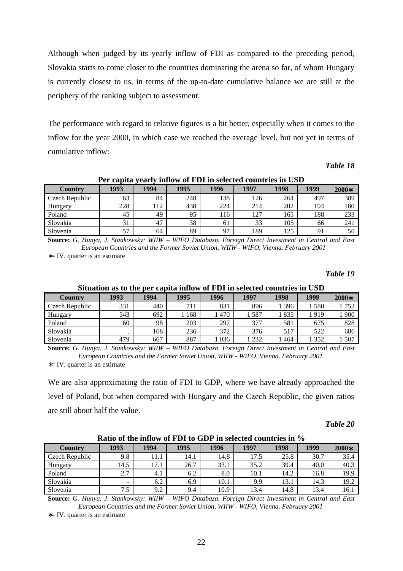Although when judged by its yearly inflow of FDI as compared to the preceding period, Slovakia starts to come closer to the countries dominating the arena so far, of whom Hungary is currently closest to us, in terms of the up-to-date cumulative balance we are still at the periphery of the ranking subject to assessment.

The performance with regard to relative figures is a bit better, especially when it comes to the inflow for the year 2000, in which case we reached the average level, but not yet in terms of cumulative inflow:

#### *Table 18*

#### **Per capita yearly inflow of FDI in selected countries in USD**

| <b>Country</b> | 1993 | 1994 | 1995 | 1996           | 1997 | 1998 | 1999 | $2000*$ |
|----------------|------|------|------|----------------|------|------|------|---------|
| Czech Republic | 63   | 84   | 248  | 138            | 126  | 264  | 497  | 389     |
| Hungary        | 228  | 112  | 438  | 224            | 214  | 202  | 194  | 180     |
| Poland         | 45   | 49   | 95   | 116            | 127  | 165  | 188  | 233     |
| Slovakia       | 31   | 47   | 38   | 61             | 33   | 105  | 66   | 241     |
| Slovenia       | 57   | 64   | 89   | Q <sub>7</sub> | 189  | 125  | 91   | 50      |

**Source:** *G. Hunya, J. Stankowsky: WIIW – WIFO Databaza. Foreign Direct Investment in Central and East European Countries and the Former Soviet Union, WIIW - WIFO, Vienna. February 2001* ∗= IV. quarter is an estimate

#### *Table 19*

|                | Situation as to the per capita millow of FDT in selected countries in USD |      |      |      |      |      |       |         |  |  |  |
|----------------|---------------------------------------------------------------------------|------|------|------|------|------|-------|---------|--|--|--|
| Country        | 1993                                                                      | 1994 | 1995 | 1996 | 1997 | 1998 | 1999  | $2000*$ |  |  |  |
| Czech Republic | 331                                                                       | 440  | 711  | 831  | 896  | 396  | 1580  | 752     |  |  |  |
| Hungary        | 543                                                                       | 692  | 168  | 470  | 587  | 1835 | 1919  | .900    |  |  |  |
| Poland         | 60                                                                        | 98   | 203  | 297  | 377  | 581  | 675   | 828     |  |  |  |
| Slovakia       |                                                                           | 168  | 236  | 372  | 376  | 517  | 522   | 686     |  |  |  |
| Slovenia       | 479                                                                       | 667  | 887  | 036  | 232  | 464  | 1 352 | 507     |  |  |  |

**Situation as to the per capita inflow of FDI in selected countries in USD**

**Source:** *G. Hunya, J. Stankowsky: WIIW – WIFO Databaza. Foreign Direct Investment in Central and East European Countries and the Former Soviet Union, WIIW - WIFO, Vienna. February 2001* ∗= IV. quarter is an estimate

We are also approximating the ratio of FDI to GDP, where we have already approached the level of Poland, but when compared with Hungary and the Czech Republic, the given ratios are still about half the value.

#### *Table 20*

|                | Ratio of the inflow of FDI to GDP in selected countries in % |      |      |      |      |      |      |         |  |  |  |
|----------------|--------------------------------------------------------------|------|------|------|------|------|------|---------|--|--|--|
| <b>Country</b> | 1993                                                         | 1994 | 1995 | 1996 | 1997 | 1998 | 1999 | $2000*$ |  |  |  |
| Czech Republic | 9.8                                                          | 11.1 | 14.1 | 14.8 | 17.5 | 25.8 | 30.7 | 35.4    |  |  |  |
| Hungary        | 14.5                                                         | 17.1 | 26.7 | 33.1 | 35.2 | 39.4 | 40.0 | 40.3    |  |  |  |
| Poland         | 2.7                                                          | 4.1  | 6.2  | 8.0  | 10.1 | 14.2 | 16.8 | 19.9    |  |  |  |
| Slovakia       | -                                                            | 6.2  | 6.9  | 10.1 | 9.9  | 13.1 | 14.3 | 19.2    |  |  |  |
| Slovenia       | 7.5                                                          | 9.2  | 9.4  | 10.9 | 13.4 | 14.8 | 13.4 | 16.1    |  |  |  |

**Ratio of the inflow of FDI to GDP in selected countries in %**

**Source:** *G. Hunya, J. Stankowsky: WIIW – WIFO Databaza. Foreign Direct Investment in Central and East European Countries and the Former Soviet Union, WIIW - WIFO, Vienna. February 2001*

∗= IV. quarter is an estimate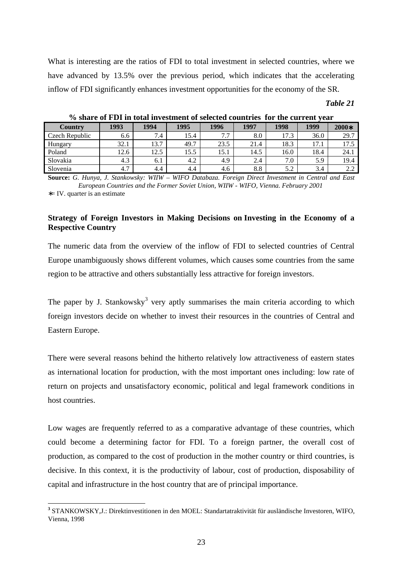What is interesting are the ratios of FDI to total investment in selected countries, where we have advanced by 13.5% over the previous period, which indicates that the accelerating inflow of FDI significantly enhances investment opportunities for the economy of the SR.

#### *Table 21*

| Country        | 1993 | 1994 | 1995 | 1996                  | 1997 | 1998 | 1999       | 2000* |
|----------------|------|------|------|-----------------------|------|------|------------|-------|
| Czech Republic | 6.6  | 7.4  | 15.4 | $\overline{ }$<br>، ، | 8.0  | 17.3 | 36.0       | 29.7  |
| Hungary        | 32.1 | 13.7 | 49.7 | 23.5                  | 21.4 | 18.3 | 17<br>17.1 | 175   |
| Poland         | 12.6 | 12.5 | 15.5 | 15.1                  | 14.5 | 16.0 | 18.4       | 24.1  |
| Slovakia       | 4.3  | 6.1  | 4.2  | 4.9                   | 2.4  | 7.0  | 5.9        | 19.4  |
| Slovenia       | 4.7  | 4.4  | 4.4  | 4.6                   | 8.8  | 5.2  | 3.4        | 2.Z   |

**% share of FDI in total investment of selected countries for the current year**

**Source:** *G. Hunya, J. Stankowsky: WIIW – WIFO Databaza. Foreign Direct Investment in Central and East European Countries and the Former Soviet Union, WIIW - WIFO, Vienna. February 2001* ∗= IV. quarter is an estimate

# **Strategy of Foreign Investors in Making Decisions on Investing in the Economy of a Respective Country**

The numeric data from the overview of the inflow of FDI to selected countries of Central Europe unambiguously shows different volumes, which causes some countries from the same region to be attractive and others substantially less attractive for foreign investors.

The paper by J. Stankowsky<sup>3</sup> very aptly summarises the main criteria according to which foreign investors decide on whether to invest their resources in the countries of Central and Eastern Europe.

There were several reasons behind the hitherto relatively low attractiveness of eastern states as international location for production, with the most important ones including: low rate of return on projects and unsatisfactory economic, political and legal framework conditions in host countries.

Low wages are frequently referred to as a comparative advantage of these countries, which could become a determining factor for FDI. To a foreign partner, the overall cost of production, as compared to the cost of production in the mother country or third countries, is decisive. In this context, it is the productivity of labour, cost of production, disposability of capital and infrastructure in the host country that are of principal importance.

l

**<sup>3</sup>** STANKOWSKY,J.: Direktinvestitionen in den MOEL: Standartatraktivität für ausländische Investoren, WIFO, Vienna, 1998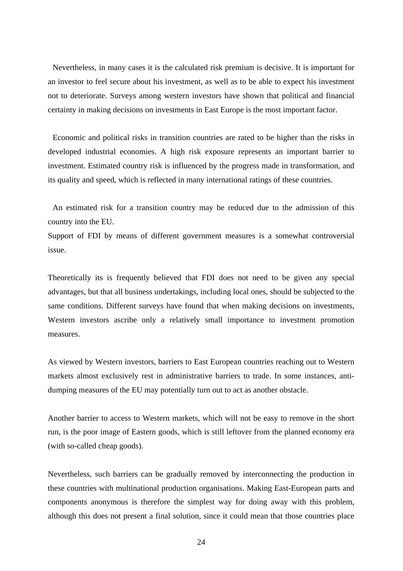Nevertheless, in many cases it is the calculated risk premium is decisive. It is important for an investor to feel secure about his investment, as well as to be able to expect his investment not to deteriorate. Surveys among western investors have shown that political and financial certainty in making decisions on investments in East Europe is the most important factor.

Economic and political risks in transition countries are rated to be higher than the risks in developed industrial economies. A high risk exposure represents an important barrier to investment. Estimated country risk is influenced by the progress made in transformation, and its quality and speed, which is reflected in many international ratings of these countries.

An estimated risk for a transition country may be reduced due to the admission of this country into the EU.

Support of FDI by means of different government measures is a somewhat controversial issue.

Theoretically its is frequently believed that FDI does not need to be given any special advantages, but that all business undertakings, including local ones, should be subjected to the same conditions. Different surveys have found that when making decisions on investments, Western investors ascribe only a relatively small importance to investment promotion measures.

As viewed by Western investors, barriers to East European countries reaching out to Western markets almost exclusively rest in administrative barriers to trade. In some instances, antidumping measures of the EU may potentially turn out to act as another obstacle.

Another barrier to access to Western markets, which will not be easy to remove in the short run, is the poor image of Eastern goods, which is still leftover from the planned economy era (with so-called cheap goods).

Nevertheless, such barriers can be gradually removed by interconnecting the production in these countries with multinational production organisations. Making East-European parts and components anonymous is therefore the simplest way for doing away with this problem, although this does not present a final solution, since it could mean that those countries place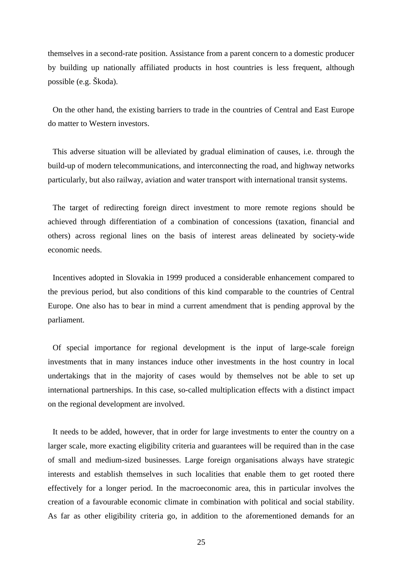themselves in a second-rate position. Assistance from a parent concern to a domestic producer by building up nationally affiliated products in host countries is less frequent, although possible (e.g. Škoda).

On the other hand, the existing barriers to trade in the countries of Central and East Europe do matter to Western investors.

This adverse situation will be alleviated by gradual elimination of causes, i.e. through the build-up of modern telecommunications, and interconnecting the road, and highway networks particularly, but also railway, aviation and water transport with international transit systems.

The target of redirecting foreign direct investment to more remote regions should be achieved through differentiation of a combination of concessions (taxation, financial and others) across regional lines on the basis of interest areas delineated by society-wide economic needs.

Incentives adopted in Slovakia in 1999 produced a considerable enhancement compared to the previous period, but also conditions of this kind comparable to the countries of Central Europe. One also has to bear in mind a current amendment that is pending approval by the parliament.

Of special importance for regional development is the input of large-scale foreign investments that in many instances induce other investments in the host country in local undertakings that in the majority of cases would by themselves not be able to set up international partnerships. In this case, so-called multiplication effects with a distinct impact on the regional development are involved.

It needs to be added, however, that in order for large investments to enter the country on a larger scale, more exacting eligibility criteria and guarantees will be required than in the case of small and medium-sized businesses. Large foreign organisations always have strategic interests and establish themselves in such localities that enable them to get rooted there effectively for a longer period. In the macroeconomic area, this in particular involves the creation of a favourable economic climate in combination with political and social stability. As far as other eligibility criteria go, in addition to the aforementioned demands for an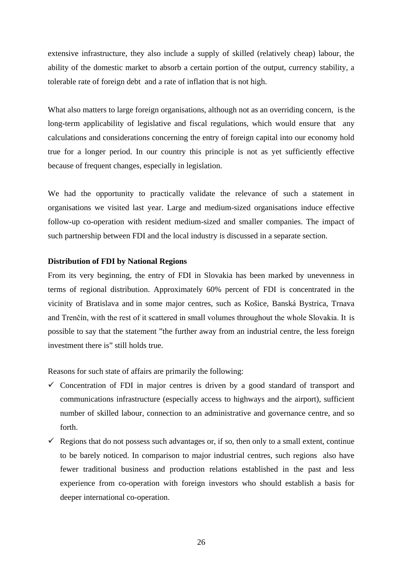extensive infrastructure, they also include a supply of skilled (relatively cheap) labour, the ability of the domestic market to absorb a certain portion of the output, currency stability, a tolerable rate of foreign debt and a rate of inflation that is not high.

What also matters to large foreign organisations, although not as an overriding concern, is the long-term applicability of legislative and fiscal regulations, which would ensure that any calculations and considerations concerning the entry of foreign capital into our economy hold true for a longer period. In our country this principle is not as yet sufficiently effective because of frequent changes, especially in legislation.

We had the opportunity to practically validate the relevance of such a statement in organisations we visited last year. Large and medium-sized organisations induce effective follow-up co-operation with resident medium-sized and smaller companies. The impact of such partnership between FDI and the local industry is discussed in a separate section.

## **Distribution of FDI by National Regions**

From its very beginning, the entry of FDI in Slovakia has been marked by unevenness in terms of regional distribution. Approximately 60% percent of FDI is concentrated in the vicinity of Bratislava and in some major centres, such as Košice, Banská Bystrica, Trnava and Trenčín, with the rest of it scattered in small volumes throughout the whole Slovakia. It is possible to say that the statement "the further away from an industrial centre, the less foreign investment there is" still holds true.

Reasons for such state of affairs are primarily the following:

- Concentration of FDI in major centres is driven by a good standard of transport and communications infrastructure (especially access to highways and the airport), sufficient number of skilled labour, connection to an administrative and governance centre, and so forth.
- Regions that do not possess such advantages or, if so, then only to a small extent, continue to be barely noticed. In comparison to major industrial centres, such regions also have fewer traditional business and production relations established in the past and less experience from co-operation with foreign investors who should establish a basis for deeper international co-operation.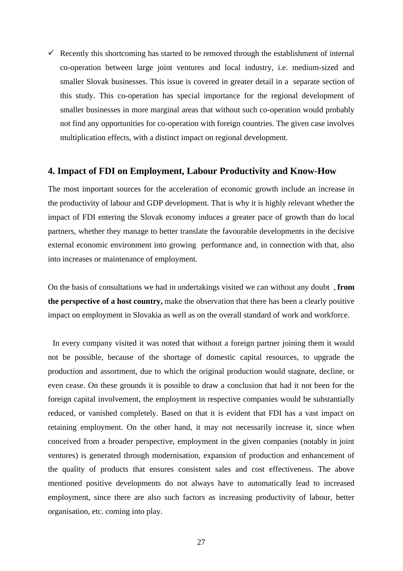$\checkmark$  Recently this shortcoming has started to be removed through the establishment of internal co-operation between large joint ventures and local industry, i.e. medium-sized and smaller Slovak businesses. This issue is covered in greater detail in a separate section of this study. This co-operation has special importance for the regional development of smaller businesses in more marginal areas that without such co-operation would probably not find any opportunities for co-operation with foreign countries. The given case involves multiplication effects, with a distinct impact on regional development.

# **4. Impact of FDI on Employment, Labour Productivity and Know-How**

The most important sources for the acceleration of economic growth include an increase in the productivity of labour and GDP development. That is why it is highly relevant whether the impact of FDI entering the Slovak economy induces a greater pace of growth than do local partners, whether they manage to better translate the favourable developments in the decisive external economic environment into growing performance and, in connection with that, also into increases or maintenance of employment.

On the basis of consultations we had in undertakings visited we can without any doubt , **from the perspective of a host country,** make the observation that there has been a clearly positive impact on employment in Slovakia as well as on the overall standard of work and workforce.

In every company visited it was noted that without a foreign partner joining them it would not be possible, because of the shortage of domestic capital resources, to upgrade the production and assortment, due to which the original production would stagnate, decline, or even cease. On these grounds it is possible to draw a conclusion that had it not been for the foreign capital involvement, the employment in respective companies would be substantially reduced, or vanished completely. Based on that it is evident that FDI has a vast impact on retaining employment. On the other hand, it may not necessarily increase it, since when conceived from a broader perspective, employment in the given companies (notably in joint ventures) is generated through modernisation, expansion of production and enhancement of the quality of products that ensures consistent sales and cost effectiveness. The above mentioned positive developments do not always have to automatically lead to increased employment, since there are also such factors as increasing productivity of labour, better organisation, etc. coming into play.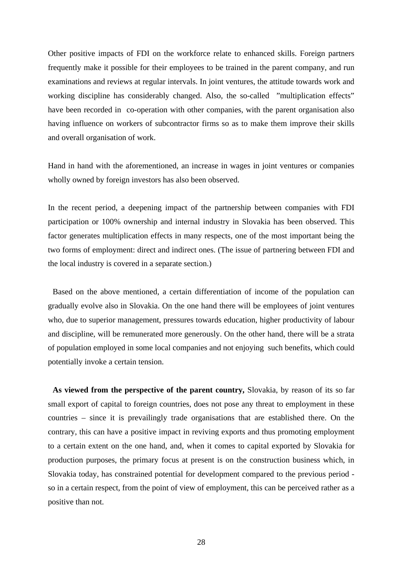Other positive impacts of FDI on the workforce relate to enhanced skills. Foreign partners frequently make it possible for their employees to be trained in the parent company, and run examinations and reviews at regular intervals. In joint ventures, the attitude towards work and working discipline has considerably changed. Also, the so-called "multiplication effects" have been recorded in co-operation with other companies, with the parent organisation also having influence on workers of subcontractor firms so as to make them improve their skills and overall organisation of work.

Hand in hand with the aforementioned, an increase in wages in joint ventures or companies wholly owned by foreign investors has also been observed.

In the recent period, a deepening impact of the partnership between companies with FDI participation or 100% ownership and internal industry in Slovakia has been observed. This factor generates multiplication effects in many respects, one of the most important being the two forms of employment: direct and indirect ones. (The issue of partnering between FDI and the local industry is covered in a separate section.)

Based on the above mentioned, a certain differentiation of income of the population can gradually evolve also in Slovakia. On the one hand there will be employees of joint ventures who, due to superior management, pressures towards education, higher productivity of labour and discipline, will be remunerated more generously. On the other hand, there will be a strata of population employed in some local companies and not enjoying such benefits, which could potentially invoke a certain tension.

**As viewed from the perspective of the parent country,** Slovakia, by reason of its so far small export of capital to foreign countries, does not pose any threat to employment in these countries – since it is prevailingly trade organisations that are established there. On the contrary, this can have a positive impact in reviving exports and thus promoting employment to a certain extent on the one hand, and, when it comes to capital exported by Slovakia for production purposes, the primary focus at present is on the construction business which, in Slovakia today, has constrained potential for development compared to the previous period so in a certain respect, from the point of view of employment, this can be perceived rather as a positive than not.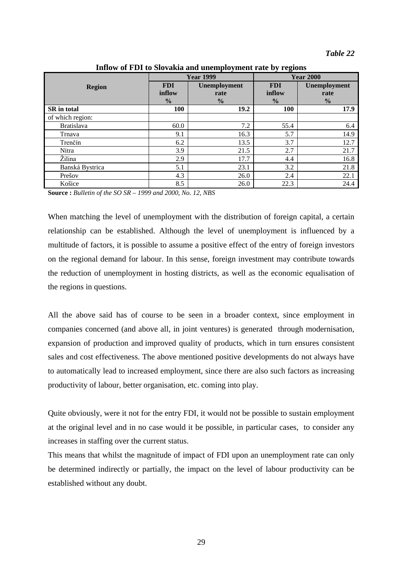|                    |                                       | <b>Year 1999</b>                      | <b>Year 2000</b>                      |                                       |  |
|--------------------|---------------------------------------|---------------------------------------|---------------------------------------|---------------------------------------|--|
| <b>Region</b>      | <b>FDI</b><br>inflow<br>$\frac{0}{0}$ | Unemployment<br>rate<br>$\frac{0}{0}$ | <b>FDI</b><br>inflow<br>$\frac{0}{0}$ | Unemployment<br>rate<br>$\frac{0}{0}$ |  |
| <b>SR</b> in total | 100                                   | 19.2                                  | <b>100</b>                            | 17.9                                  |  |
| of which region:   |                                       |                                       |                                       |                                       |  |
| <b>Bratislava</b>  | 60.0                                  | 7.2                                   | 55.4                                  | 6.4                                   |  |
| Trnava             | 9.1                                   | 16.3                                  | 5.7                                   | 14.9                                  |  |
| Trenčín            | 6.2                                   | 13.5                                  | 3.7                                   | 12.7                                  |  |
| Nitra              | 3.9                                   | 21.5                                  | 2.7                                   | 21.7                                  |  |
| Žilina             | 2.9                                   | 17.7                                  | 4.4                                   | 16.8                                  |  |
| Banská Bystrica    | 5.1                                   | 23.1                                  | 3.2                                   | 21.8                                  |  |
| Prešov             | 4.3                                   | 26.0                                  | 2.4                                   | 22.1                                  |  |
| Košice             | 8.5                                   | 26.0                                  | 22.3                                  | 24.4                                  |  |

**Inflow of FDI to Slovakia and unemployment rate by regions**

**Source :** *Bulletin of the SO SR – 1999 and 2000, No. 12, NBS*

When matching the level of unemployment with the distribution of foreign capital, a certain relationship can be established. Although the level of unemployment is influenced by a multitude of factors, it is possible to assume a positive effect of the entry of foreign investors on the regional demand for labour. In this sense, foreign investment may contribute towards the reduction of unemployment in hosting districts, as well as the economic equalisation of the regions in questions.

All the above said has of course to be seen in a broader context, since employment in companies concerned (and above all, in joint ventures) is generated through modernisation, expansion of production and improved quality of products, which in turn ensures consistent sales and cost effectiveness. The above mentioned positive developments do not always have to automatically lead to increased employment, since there are also such factors as increasing productivity of labour, better organisation, etc. coming into play.

Quite obviously, were it not for the entry FDI, it would not be possible to sustain employment at the original level and in no case would it be possible, in particular cases, to consider any increases in staffing over the current status.

This means that whilst the magnitude of impact of FDI upon an unemployment rate can only be determined indirectly or partially, the impact on the level of labour productivity can be established without any doubt.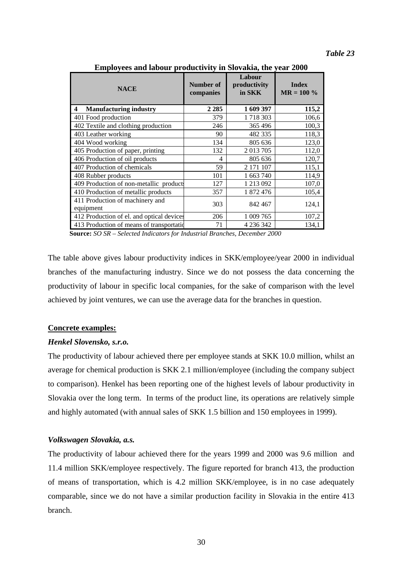*Table 23*

| <b>NACE</b>                                  | Number of<br>companies | Labour<br>productivity<br>in SKK | <b>Index</b><br>$MR = 100 \%$ |  |
|----------------------------------------------|------------------------|----------------------------------|-------------------------------|--|
| <b>Manufacturing industry</b><br>4           | 2 2 8 5                | 1 609 397                        | 115,2                         |  |
| 401 Food production                          | 379                    | 1 718 303                        | 106,6                         |  |
| 402 Textile and clothing production          | 246                    | 365 496                          | 100,3                         |  |
| 403 Leather working                          | 90                     | 482 335                          | 118,3                         |  |
| 404 Wood working                             | 134                    | 805 636                          | 123,0                         |  |
| 405 Production of paper, printing            | 132                    | 2013705                          | 112,0                         |  |
| 406 Production of oil products               | 4                      | 805 636                          | 120,7                         |  |
| 407 Production of chemicals                  | 59                     | 2 171 107                        | 115,1                         |  |
| 408 Rubber products                          | 101                    | 1 663 740                        | 114,9                         |  |
| 409 Production of non-metallic products      | 127                    | 1 213 092                        | 107,0                         |  |
| 410 Production of metallic products          | 357                    | 1 872 476                        | 105,4                         |  |
| 411 Production of machinery and<br>equipment | 303                    | 842 467                          | 124,1                         |  |
| 412 Production of el. and optical devices    | 206                    | 1 009 765                        | 107,2                         |  |
| 413 Production of means of transportation    | 71                     | 4 236 342                        | 134,1                         |  |

**Employees and labour productivity in Slovakia, the year 2000**

 **Source:** *SO SR – Selected Indicators for Industrial Branches, December 2000*

The table above gives labour productivity indices in SKK/employee/year 2000 in individual branches of the manufacturing industry. Since we do not possess the data concerning the productivity of labour in specific local companies, for the sake of comparison with the level achieved by joint ventures, we can use the average data for the branches in question.

## **Concrete examples:**

# *Henkel Slovensko, s.r.o.*

The productivity of labour achieved there per employee stands at SKK 10.0 million, whilst an average for chemical production is SKK 2.1 million/employee (including the company subject to comparison). Henkel has been reporting one of the highest levels of labour productivity in Slovakia over the long term. In terms of the product line, its operations are relatively simple and highly automated (with annual sales of SKK 1.5 billion and 150 employees in 1999).

## *Volkswagen Slovakia, a.s.*

The productivity of labour achieved there for the years 1999 and 2000 was 9.6 million and 11.4 million SKK/employee respectively. The figure reported for branch 413, the production of means of transportation, which is 4.2 million SKK/employee, is in no case adequately comparable, since we do not have a similar production facility in Slovakia in the entire 413 branch.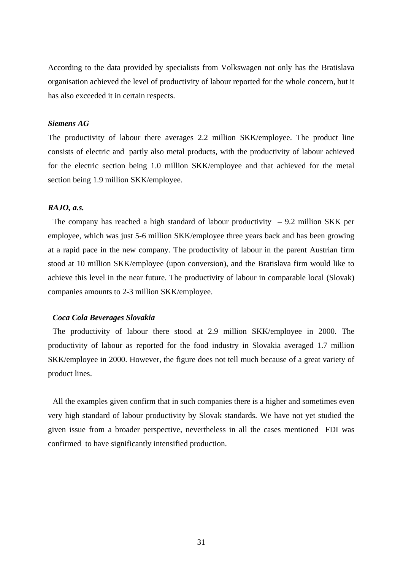According to the data provided by specialists from Volkswagen not only has the Bratislava organisation achieved the level of productivity of labour reported for the whole concern, but it has also exceeded it in certain respects.

# *Siemens AG*

The productivity of labour there averages 2.2 million SKK/employee. The product line consists of electric and partly also metal products, with the productivity of labour achieved for the electric section being 1.0 million SKK/employee and that achieved for the metal section being 1.9 million SKK/employee.

### *RAJO, a.s.*

The company has reached a high standard of labour productivity  $-9.2$  million SKK per employee, which was just 5-6 million SKK/employee three years back and has been growing at a rapid pace in the new company. The productivity of labour in the parent Austrian firm stood at 10 million SKK/employee (upon conversion), and the Bratislava firm would like to achieve this level in the near future. The productivity of labour in comparable local (Slovak) companies amounts to 2-3 million SKK/employee.

# *Coca Cola Beverages Slovakia*

The productivity of labour there stood at 2.9 million SKK/employee in 2000. The productivity of labour as reported for the food industry in Slovakia averaged 1.7 million SKK/employee in 2000. However, the figure does not tell much because of a great variety of product lines.

All the examples given confirm that in such companies there is a higher and sometimes even very high standard of labour productivity by Slovak standards. We have not yet studied the given issue from a broader perspective, nevertheless in all the cases mentioned FDI was confirmed to have significantly intensified production.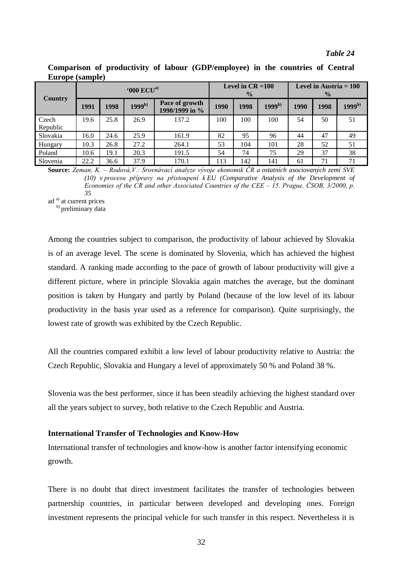#### *Table 24*

| $L$ <i>ul</i> $V$ $V$ $V$ $V$ $V$ $V$ $V$ |                                           |      |             |                                      |      |      |                                           |      |      |             |
|-------------------------------------------|-------------------------------------------|------|-------------|--------------------------------------|------|------|-------------------------------------------|------|------|-------------|
|                                           | $^{\circ}000$ $\mathrm{ECU}^{\mathrm{a}}$ |      |             | Level in $CR = 100$<br>$\frac{0}{0}$ |      |      | Level in Austria $= 100$<br>$\frac{0}{0}$ |      |      |             |
| <b>Country</b>                            | 1991                                      | 1998 | $1999^{b)}$ | Pace of growth<br>1990/1999 in %     | 1990 | 1998 | $1999^{b)}$                               | 1990 | 1998 | $1999^{b)}$ |
| Czech<br>Republic                         | 19.6                                      | 25.8 | 26.9        | 137.2                                | 100  | 100  | 100                                       | 54   | 50   | 51          |
| Slovakia                                  | 16.0                                      | 24.6 | 25.9        | 161.9                                | 82   | 95   | 96                                        | 44   | 47   | 49          |
| Hungary                                   | 10.3                                      | 26.8 | 27.2        | 264.1                                | 53   | 104  | 101                                       | 28   | 52   | 51          |
| Poland                                    | 10.6                                      | 19.1 | 20.3        | 191.5                                | 54   | 74   | 75                                        | 29   | 37   | 38          |
| Slovenia                                  | 22.2                                      | 36.6 | 37.9        | 170.1                                | 113  | 142  | 141                                       | 61   | 71   | 71          |

**Comparison of productivity of labour (GDP/employee) in the countries of Central Europe (sample)**

**Source:** Zeman, K. – Rodová,V.: Srovnávací analyze vývoje ekonomik ČR a ostatních asociovaných zemí SVE (10) v procesu přípravy na přistoupení k EU (Comparative Analysis of the Development of Economies of the CR and other Associated Countries of the CEE  $-15$ . Prague, ČSOB, 3/2000, p. *35*

ad<sup>a)</sup> at current prices

b) preliminary data

Among the countries subject to comparison, the productivity of labour achieved by Slovakia is of an average level. The scene is dominated by Slovenia, which has achieved the highest standard. A ranking made according to the pace of growth of labour productivity will give a different picture, where in principle Slovakia again matches the average, but the dominant position is taken by Hungary and partly by Poland (because of the low level of its labour productivity in the basis year used as a reference for comparison). Quite surprisingly, the lowest rate of growth was exhibited by the Czech Republic.

All the countries compared exhibit a low level of labour productivity relative to Austria: the Czech Republic, Slovakia and Hungary a level of approximately 50 % and Poland 38 %.

Slovenia was the best performer, since it has been steadily achieving the highest standard over all the years subject to survey, both relative to the Czech Republic and Austria.

### **International Transfer of Technologies and Know-How**

International transfer of technologies and know-how is another factor intensifying economic growth.

There is no doubt that direct investment facilitates the transfer of technologies between partnership countries, in particular between developed and developing ones. Foreign investment represents the principal vehicle for such transfer in this respect. Nevertheless it is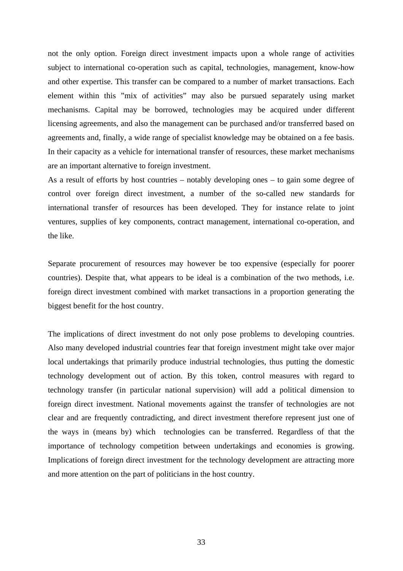not the only option. Foreign direct investment impacts upon a whole range of activities subject to international co-operation such as capital, technologies, management, know-how and other expertise. This transfer can be compared to a number of market transactions. Each element within this "mix of activities" may also be pursued separately using market mechanisms. Capital may be borrowed, technologies may be acquired under different licensing agreements, and also the management can be purchased and/or transferred based on agreements and, finally, a wide range of specialist knowledge may be obtained on a fee basis. In their capacity as a vehicle for international transfer of resources, these market mechanisms are an important alternative to foreign investment.

As a result of efforts by host countries – notably developing ones – to gain some degree of control over foreign direct investment, a number of the so-called new standards for international transfer of resources has been developed. They for instance relate to joint ventures, supplies of key components, contract management, international co-operation, and the like.

Separate procurement of resources may however be too expensive (especially for poorer countries). Despite that, what appears to be ideal is a combination of the two methods, i.e. foreign direct investment combined with market transactions in a proportion generating the biggest benefit for the host country.

The implications of direct investment do not only pose problems to developing countries. Also many developed industrial countries fear that foreign investment might take over major local undertakings that primarily produce industrial technologies, thus putting the domestic technology development out of action. By this token, control measures with regard to technology transfer (in particular national supervision) will add a political dimension to foreign direct investment. National movements against the transfer of technologies are not clear and are frequently contradicting, and direct investment therefore represent just one of the ways in (means by) which technologies can be transferred. Regardless of that the importance of technology competition between undertakings and economies is growing. Implications of foreign direct investment for the technology development are attracting more and more attention on the part of politicians in the host country.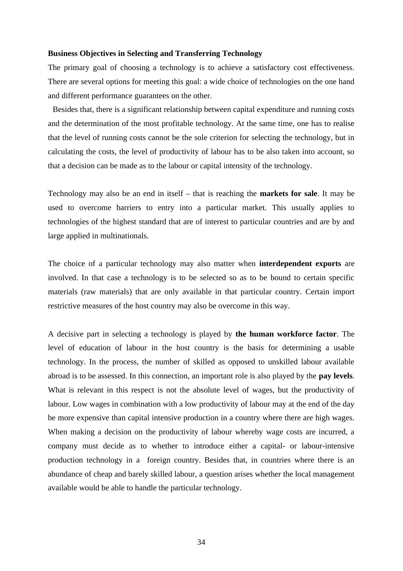#### **Business Objectives in Selecting and Transferring Technology**

The primary goal of choosing a technology is to achieve a satisfactory cost effectiveness. There are several options for meeting this goal: a wide choice of technologies on the one hand and different performance guarantees on the other.

Besides that, there is a significant relationship between capital expenditure and running costs and the determination of the most profitable technology. At the same time, one has to realise that the level of running costs cannot be the sole criterion for selecting the technology, but in calculating the costs, the level of productivity of labour has to be also taken into account, so that a decision can be made as to the labour or capital intensity of the technology.

Technology may also be an end in itself – that is reaching the **markets for sale**. It may be used to overcome barriers to entry into a particular market. This usually applies to technologies of the highest standard that are of interest to particular countries and are by and large applied in multinationals.

The choice of a particular technology may also matter when **interdependent exports** are involved. In that case a technology is to be selected so as to be bound to certain specific materials (raw materials) that are only available in that particular country. Certain import restrictive measures of the host country may also be overcome in this way.

A decisive part in selecting a technology is played by **the human workforce factor**. The level of education of labour in the host country is the basis for determining a usable technology. In the process, the number of skilled as opposed to unskilled labour available abroad is to be assessed. In this connection, an important role is also played by the **pay levels**. What is relevant in this respect is not the absolute level of wages, but the productivity of labour. Low wages in combination with a low productivity of labour may at the end of the day be more expensive than capital intensive production in a country where there are high wages. When making a decision on the productivity of labour whereby wage costs are incurred, a company must decide as to whether to introduce either a capital- or labour-intensive production technology in a foreign country. Besides that, in countries where there is an abundance of cheap and barely skilled labour, a question arises whether the local management available would be able to handle the particular technology.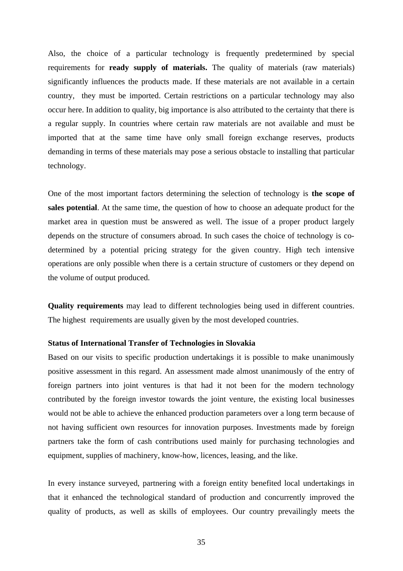Also, the choice of a particular technology is frequently predetermined by special requirements for **ready supply of materials.** The quality of materials (raw materials) significantly influences the products made. If these materials are not available in a certain country, they must be imported. Certain restrictions on a particular technology may also occur here. In addition to quality, big importance is also attributed to the certainty that there is a regular supply. In countries where certain raw materials are not available and must be imported that at the same time have only small foreign exchange reserves, products demanding in terms of these materials may pose a serious obstacle to installing that particular technology.

One of the most important factors determining the selection of technology is **the scope of sales potential**. At the same time, the question of how to choose an adequate product for the market area in question must be answered as well. The issue of a proper product largely depends on the structure of consumers abroad. In such cases the choice of technology is codetermined by a potential pricing strategy for the given country. High tech intensive operations are only possible when there is a certain structure of customers or they depend on the volume of output produced.

**Quality requirements** may lead to different technologies being used in different countries. The highest requirements are usually given by the most developed countries.

### **Status of International Transfer of Technologies in Slovakia**

Based on our visits to specific production undertakings it is possible to make unanimously positive assessment in this regard. An assessment made almost unanimously of the entry of foreign partners into joint ventures is that had it not been for the modern technology contributed by the foreign investor towards the joint venture, the existing local businesses would not be able to achieve the enhanced production parameters over a long term because of not having sufficient own resources for innovation purposes. Investments made by foreign partners take the form of cash contributions used mainly for purchasing technologies and equipment, supplies of machinery, know-how, licences, leasing, and the like.

In every instance surveyed, partnering with a foreign entity benefited local undertakings in that it enhanced the technological standard of production and concurrently improved the quality of products, as well as skills of employees. Our country prevailingly meets the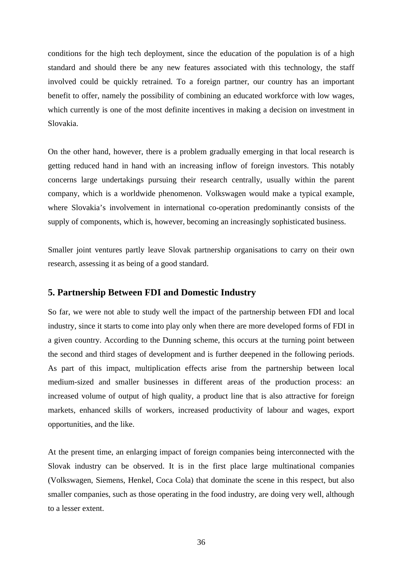conditions for the high tech deployment, since the education of the population is of a high standard and should there be any new features associated with this technology, the staff involved could be quickly retrained. To a foreign partner, our country has an important benefit to offer, namely the possibility of combining an educated workforce with low wages, which currently is one of the most definite incentives in making a decision on investment in Slovakia.

On the other hand, however, there is a problem gradually emerging in that local research is getting reduced hand in hand with an increasing inflow of foreign investors. This notably concerns large undertakings pursuing their research centrally, usually within the parent company, which is a worldwide phenomenon. Volkswagen would make a typical example, where Slovakia's involvement in international co-operation predominantly consists of the supply of components, which is, however, becoming an increasingly sophisticated business.

Smaller joint ventures partly leave Slovak partnership organisations to carry on their own research, assessing it as being of a good standard.

# **5. Partnership Between FDI and Domestic Industry**

So far, we were not able to study well the impact of the partnership between FDI and local industry, since it starts to come into play only when there are more developed forms of FDI in a given country. According to the Dunning scheme, this occurs at the turning point between the second and third stages of development and is further deepened in the following periods. As part of this impact, multiplication effects arise from the partnership between local medium-sized and smaller businesses in different areas of the production process: an increased volume of output of high quality, a product line that is also attractive for foreign markets, enhanced skills of workers, increased productivity of labour and wages, export opportunities, and the like.

At the present time, an enlarging impact of foreign companies being interconnected with the Slovak industry can be observed. It is in the first place large multinational companies (Volkswagen, Siemens, Henkel, Coca Cola) that dominate the scene in this respect, but also smaller companies, such as those operating in the food industry, are doing very well, although to a lesser extent.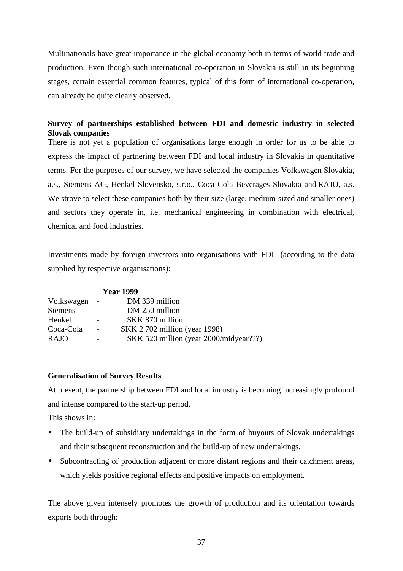Multinationals have great importance in the global economy both in terms of world trade and production. Even though such international co-operation in Slovakia is still in its beginning stages, certain essential common features, typical of this form of international co-operation, can already be quite clearly observed.

# **Survey of partnerships established between FDI and domestic industry in selected Slovak companies**

There is not yet a population of organisations large enough in order for us to be able to express the impact of partnering between FDI and local industry in Slovakia in quantitative terms. For the purposes of our survey, we have selected the companies Volkswagen Slovakia, a.s., Siemens AG, Henkel Slovensko, s.r.o., Coca Cola Beverages Slovakia and RAJO, a.s. We strove to select these companies both by their size (large, medium-sized and smaller ones) and sectors they operate in, i.e. mechanical engineering in combination with electrical, chemical and food industries.

Investments made by foreign investors into organisations with FDI (according to the data supplied by respective organisations):

| <b>Year 1999</b> |                          |                                        |  |  |  |
|------------------|--------------------------|----------------------------------------|--|--|--|
| Volkswagen       | $\overline{\phantom{a}}$ | DM 339 million                         |  |  |  |
| <b>Siemens</b>   |                          | DM 250 million                         |  |  |  |
| Henkel           |                          | SKK 870 million                        |  |  |  |
| Coca-Cola        | $\overline{\phantom{a}}$ | <b>SKK</b> 2 702 million (year 1998)   |  |  |  |
| <b>RAJO</b>      |                          | SKK 520 million (year 2000/midyear???) |  |  |  |

# **Generalisation of Survey Results**

At present, the partnership between FDI and local industry is becoming increasingly profound and intense compared to the start-up period.

This shows in:

- The build-up of subsidiary undertakings in the form of buyouts of Slovak undertakings and their subsequent reconstruction and the build-up of new undertakings.
- Subcontracting of production adjacent or more distant regions and their catchment areas, which yields positive regional effects and positive impacts on employment.

The above given intensely promotes the growth of production and its orientation towards exports both through: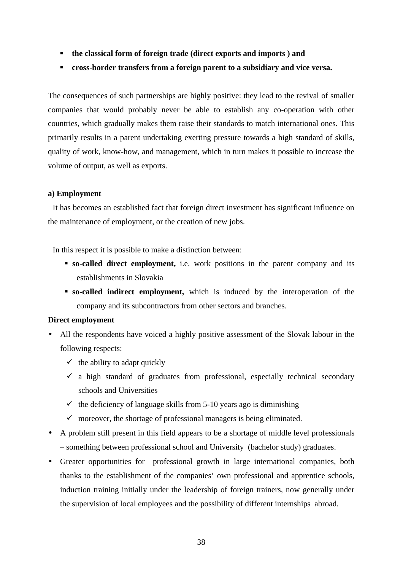- **the classical form of foreign trade (direct exports and imports ) and**
- **cross-border transfers from a foreign parent to a subsidiary and vice versa.**

The consequences of such partnerships are highly positive: they lead to the revival of smaller companies that would probably never be able to establish any co-operation with other countries, which gradually makes them raise their standards to match international ones. This primarily results in a parent undertaking exerting pressure towards a high standard of skills, quality of work, know-how, and management, which in turn makes it possible to increase the volume of output, as well as exports.

#### **a) Employment**

It has becomes an established fact that foreign direct investment has significant influence on the maintenance of employment, or the creation of new jobs.

In this respect it is possible to make a distinction between:

- **so-called direct employment,** i.e. work positions in the parent company and its establishments in Slovakia
- **so-called indirect employment,** which is induced by the interoperation of the company and its subcontractors from other sectors and branches.

### **Direct employment**

- All the respondents have voiced a highly positive assessment of the Slovak labour in the following respects:
	- $\checkmark$  the ability to adapt quickly
	- a high standard of graduates from professional, especially technical secondary schools and Universities
	- $\checkmark$  the deficiency of language skills from 5-10 years ago is diminishing
	- moreover, the shortage of professional managers is being eliminated.
- A problem still present in this field appears to be a shortage of middle level professionals – something between professional school and University (bachelor study) graduates.
- Greater opportunities for professional growth in large international companies, both thanks to the establishment of the companies' own professional and apprentice schools, induction training initially under the leadership of foreign trainers, now generally under the supervision of local employees and the possibility of different internships abroad.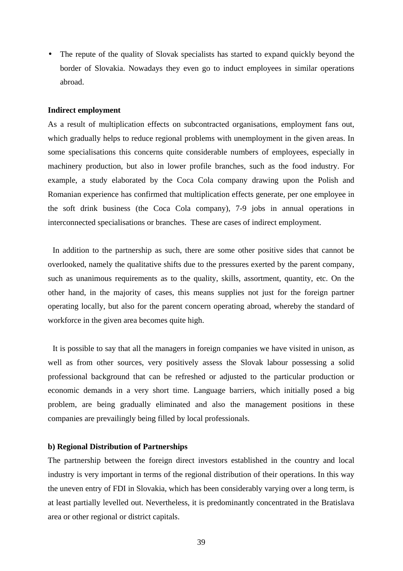• The repute of the quality of Slovak specialists has started to expand quickly beyond the border of Slovakia. Nowadays they even go to induct employees in similar operations abroad.

# **Indirect employment**

As a result of multiplication effects on subcontracted organisations, employment fans out, which gradually helps to reduce regional problems with unemployment in the given areas. In some specialisations this concerns quite considerable numbers of employees, especially in machinery production, but also in lower profile branches, such as the food industry. For example, a study elaborated by the Coca Cola company drawing upon the Polish and Romanian experience has confirmed that multiplication effects generate, per one employee in the soft drink business (the Coca Cola company), 7-9 jobs in annual operations in interconnected specialisations or branches. These are cases of indirect employment.

In addition to the partnership as such, there are some other positive sides that cannot be overlooked, namely the qualitative shifts due to the pressures exerted by the parent company, such as unanimous requirements as to the quality, skills, assortment, quantity, etc. On the other hand, in the majority of cases, this means supplies not just for the foreign partner operating locally, but also for the parent concern operating abroad, whereby the standard of workforce in the given area becomes quite high.

It is possible to say that all the managers in foreign companies we have visited in unison, as well as from other sources, very positively assess the Slovak labour possessing a solid professional background that can be refreshed or adjusted to the particular production or economic demands in a very short time. Language barriers, which initially posed a big problem, are being gradually eliminated and also the management positions in these companies are prevailingly being filled by local professionals.

# **b) Regional Distribution of Partnerships**

The partnership between the foreign direct investors established in the country and local industry is very important in terms of the regional distribution of their operations. In this way the uneven entry of FDI in Slovakia, which has been considerably varying over a long term, is at least partially levelled out. Nevertheless, it is predominantly concentrated in the Bratislava area or other regional or district capitals.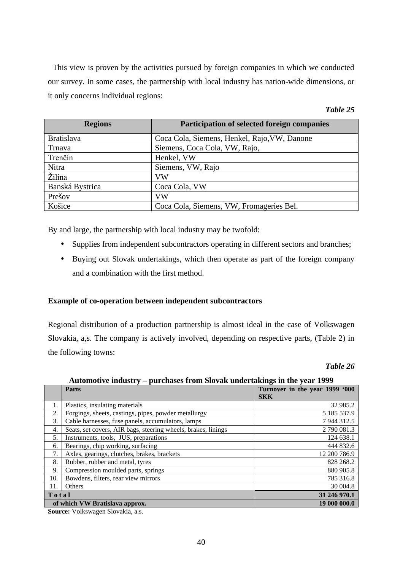This view is proven by the activities pursued by foreign companies in which we conducted our survey. In some cases, the partnership with local industry has nation-wide dimensions, or it only concerns individual regions:

| Table 2. |  |
|----------|--|
|----------|--|

| <b>Regions</b>    | <b>Participation of selected foreign companies</b> |
|-------------------|----------------------------------------------------|
| <b>Bratislava</b> | Coca Cola, Siemens, Henkel, Rajo, VW, Danone       |
| Trnava            | Siemens, Coca Cola, VW, Rajo,                      |
| Trenčín           | Henkel, VW                                         |
| Nitra             | Siemens, VW, Rajo                                  |
| Žilina            | VW                                                 |
| Banská Bystrica   | Coca Cola, VW                                      |
| Prešov            | VW                                                 |
| Košice            | Coca Cola, Siemens, VW, Fromageries Bel.           |

By and large, the partnership with local industry may be twofold:

- Supplies from independent subcontractors operating in different sectors and branches;
- Buying out Slovak undertakings, which then operate as part of the foreign company and a combination with the first method.

# **Example of co-operation between independent subcontractors**

Regional distribution of a production partnership is almost ideal in the case of Volkswagen Slovakia, a,s. The company is actively involved, depending on respective parts, (Table 2) in the following towns:

### *Table 26*

**Automotive industry – purchases from Slovak undertakings in the year 1999**

|       | $\cdots$<br>$P^{\mu\nu}$ chapes it only sto and and cannings in the feat 1999 |                                |  |  |  |  |
|-------|-------------------------------------------------------------------------------|--------------------------------|--|--|--|--|
|       | Parts                                                                         | Turnover in the year 1999 '000 |  |  |  |  |
|       |                                                                               | <b>SKK</b>                     |  |  |  |  |
|       | Plastics, insulating materials                                                | 32 985.2                       |  |  |  |  |
| 2.    | Forgings, sheets, castings, pipes, powder metallurgy                          | 5 185 537.9                    |  |  |  |  |
| 3.    | Cable harnesses, fuse panels, accumulators, lamps                             | 7944312.5                      |  |  |  |  |
| 4.    | Seats, set covers, AIR bags, steering wheels, brakes, linings                 | 2 790 081.3                    |  |  |  |  |
| 5.    | Instruments, tools, JUS, preparations                                         | 124 638.1                      |  |  |  |  |
| 6.    | Bearings, chip working, surfacing                                             | 444 832.6                      |  |  |  |  |
| 7.    | Axles, gearings, clutches, brakes, brackets                                   | 12 200 786.9                   |  |  |  |  |
| 8.    | Rubber, rubber and metal, tyres                                               | 828 268.2                      |  |  |  |  |
| 9.    | Compression moulded parts, springs                                            | 880 905.8                      |  |  |  |  |
| 10.   | Bowdens, filters, rear view mirrors                                           | 785 316.8                      |  |  |  |  |
| 11.   | Others                                                                        | 30 004.8                       |  |  |  |  |
| Total |                                                                               | 31 246 970.1                   |  |  |  |  |
|       | of which VW Bratislava approx.                                                | 19 000 000.0                   |  |  |  |  |

**Source:** Volkswagen Slovakia, a.s.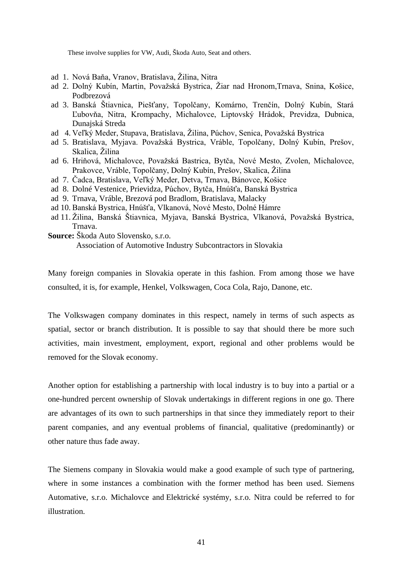These involve supplies for VW, Audi, Škoda Auto, Seat and others.

- ad 1. Nová Baňa, Vranov, Bratislava, Žilina, Nitra
- ad 2. Dolný Kubín, Martin, Považská Bystrica, Žiar nad Hronom,Trnava, Snina, Košice, Podbrezová
- ad 3. Banská Štiavnica, Piešťany, Topolčany, Komárno, Trenčín, Dolný Kubín, Stará Ľubovňa, Nitra, Krompachy, Michalovce, Liptovský Hrádok, Previdza, Dubnica, Dunajská Streda
- ad 4. Veľký Meder, Stupava, Bratislava, Žilina, Púchov, Senica, Považská Bystrica
- ad 5. Bratislava, Myjava. Považská Bystrica, Vráble, Topolčany, Dolný Kubín, Prešov, Skalica, Žilina
- ad 6. Hriňová, Michalovce, Považská Bastrica, Bytča, Nové Mesto, Zvolen, Michalovce, Prakovce, Vráble, Topolčany, Dolný Kubín, Prešov, Skalica, Žilina
- ad 7. Čadca, Bratislava, Veľký Meder, Detva, Trnava, Bánovce, Košice
- ad 8. Dolné Vestenice, Prievidza, Púchov, Bytča, Hnúšťa, Banská Bystrica
- ad 9. Trnava, Vráble, Brezová pod Bradlom, Bratislava, Malacky
- ad 10. Banská Bystrica, Hnúšťa, Vlkanová, Nové Mesto, Dolné Hámre
- ad 11. Žilina, Banská Štiavnica, Myjava, Banská Bystrica, Vlkanová, Považská Bystrica, Trnava.
- **Source:** Škoda Auto Slovensko, s.r.o. Association of Automotive Industry Subcontractors in Slovakia

Many foreign companies in Slovakia operate in this fashion. From among those we have consulted, it is, for example, Henkel, Volkswagen, Coca Cola, Rajo, Danone, etc.

The Volkswagen company dominates in this respect, namely in terms of such aspects as spatial, sector or branch distribution. It is possible to say that should there be more such activities, main investment, employment, export, regional and other problems would be removed for the Slovak economy.

Another option for establishing a partnership with local industry is to buy into a partial or a one-hundred percent ownership of Slovak undertakings in different regions in one go. There are advantages of its own to such partnerships in that since they immediately report to their parent companies, and any eventual problems of financial, qualitative (predominantly) or other nature thus fade away.

The Siemens company in Slovakia would make a good example of such type of partnering, where in some instances a combination with the former method has been used. Siemens Automative, s.r.o. Michalovce and Elektrické systémy, s.r.o. Nitra could be referred to for illustration.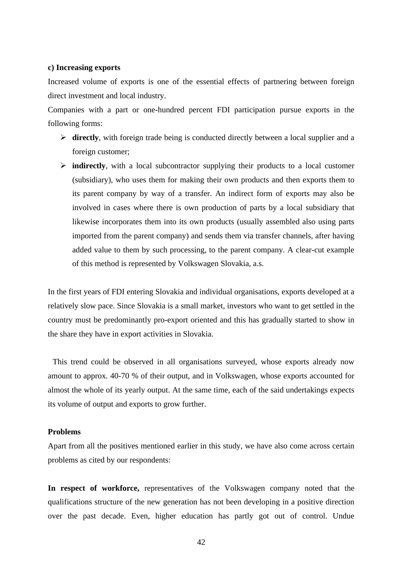#### **c) Increasing exports**

Increased volume of exports is one of the essential effects of partnering between foreign direct investment and local industry.

Companies with a part or one-hundred percent FDI participation pursue exports in the following forms:

- **directly**, with foreign trade being is conducted directly between a local supplier and a foreign customer;
- **indirectly**, with a local subcontractor supplying their products to a local customer (subsidiary), who uses them for making their own products and then exports them to its parent company by way of a transfer. An indirect form of exports may also be involved in cases where there is own production of parts by a local subsidiary that likewise incorporates them into its own products (usually assembled also using parts imported from the parent company) and sends them via transfer channels, after having added value to them by such processing, to the parent company. A clear-cut example of this method is represented by Volkswagen Slovakia, a.s.

In the first years of FDI entering Slovakia and individual organisations, exports developed at a relatively slow pace. Since Slovakia is a small market, investors who want to get settled in the country must be predominantly pro-export oriented and this has gradually started to show in the share they have in export activities in Slovakia.

This trend could be observed in all organisations surveyed, whose exports already now amount to approx. 40-70 % of their output, and in Volkswagen, whose exports accounted for almost the whole of its yearly output. At the same time, each of the said undertakings expects its volume of output and exports to grow further.

# **Problems**

Apart from all the positives mentioned earlier in this study, we have also come across certain problems as cited by our respondents:

**In respect of workforce,** representatives of the Volkswagen company noted that the qualifications structure of the new generation has not been developing in a positive direction over the past decade. Even, higher education has partly got out of control. Undue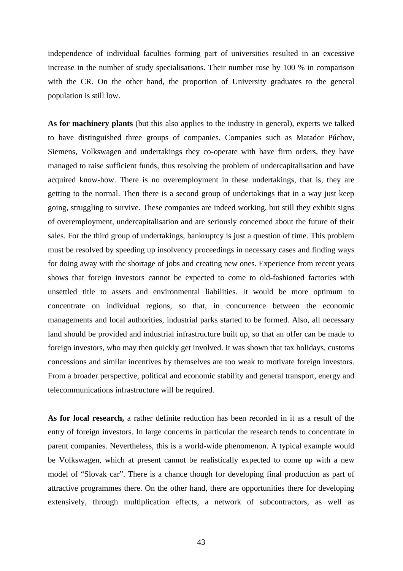independence of individual faculties forming part of universities resulted in an excessive increase in the number of study specialisations. Their number rose by 100 % in comparison with the CR. On the other hand, the proportion of University graduates to the general population is still low.

As for machinery plants (but this also applies to the industry in general), experts we talked to have distinguished three groups of companies. Companies such as Matador Púchov, Siemens, Volkswagen and undertakings they co-operate with have firm orders, they have managed to raise sufficient funds, thus resolving the problem of undercapitalisation and have acquired know-how. There is no overemployment in these undertakings, that is, they are getting to the normal. Then there is a second group of undertakings that in a way just keep going, struggling to survive. These companies are indeed working, but still they exhibit signs of overemployment, undercapitalisation and are seriously concerned about the future of their sales. For the third group of undertakings, bankruptcy is just a question of time. This problem must be resolved by speeding up insolvency proceedings in necessary cases and finding ways for doing away with the shortage of jobs and creating new ones. Experience from recent years shows that foreign investors cannot be expected to come to old-fashioned factories with unsettled title to assets and environmental liabilities. It would be more optimum to concentrate on individual regions, so that, in concurrence between the economic managements and local authorities, industrial parks started to be formed. Also, all necessary land should be provided and industrial infrastructure built up, so that an offer can be made to foreign investors, who may then quickly get involved. It was shown that tax holidays, customs concessions and similar incentives by themselves are too weak to motivate foreign investors. From a broader perspective, political and economic stability and general transport, energy and telecommunications infrastructure will be required.

**As for local research,** a rather definite reduction has been recorded in it as a result of the entry of foreign investors. In large concerns in particular the research tends to concentrate in parent companies. Nevertheless, this is a world-wide phenomenon. A typical example would be Volkswagen, which at present cannot be realistically expected to come up with a new model of "Slovak car". There is a chance though for developing final production as part of attractive programmes there. On the other hand, there are opportunities there for developing extensively, through multiplication effects, a network of subcontractors, as well as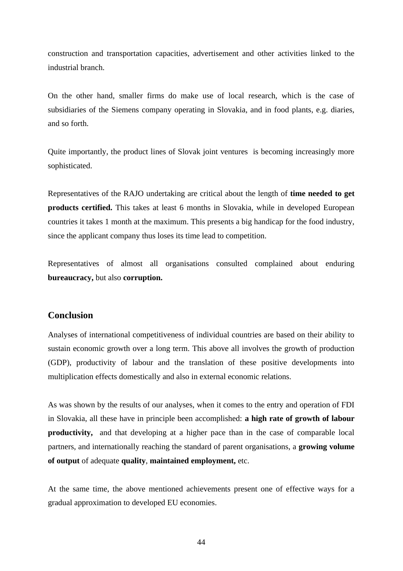construction and transportation capacities, advertisement and other activities linked to the industrial branch.

On the other hand, smaller firms do make use of local research, which is the case of subsidiaries of the Siemens company operating in Slovakia, and in food plants, e.g. diaries, and so forth.

Quite importantly, the product lines of Slovak joint ventures is becoming increasingly more sophisticated.

Representatives of the RAJO undertaking are critical about the length of **time needed to get products certified.** This takes at least 6 months in Slovakia, while in developed European countries it takes 1 month at the maximum. This presents a big handicap for the food industry, since the applicant company thus loses its time lead to competition.

Representatives of almost all organisations consulted complained about enduring **bureaucracy,** but also **corruption.**

# **Conclusion**

Analyses of international competitiveness of individual countries are based on their ability to sustain economic growth over a long term. This above all involves the growth of production (GDP), productivity of labour and the translation of these positive developments into multiplication effects domestically and also in external economic relations.

As was shown by the results of our analyses, when it comes to the entry and operation of FDI in Slovakia, all these have in principle been accomplished: **a high rate of growth of labour productivity,** and that developing at a higher pace than in the case of comparable local partners, and internationally reaching the standard of parent organisations, a **growing volume of output** of adequate **quality**, **maintained employment,** etc.

At the same time, the above mentioned achievements present one of effective ways for a gradual approximation to developed EU economies.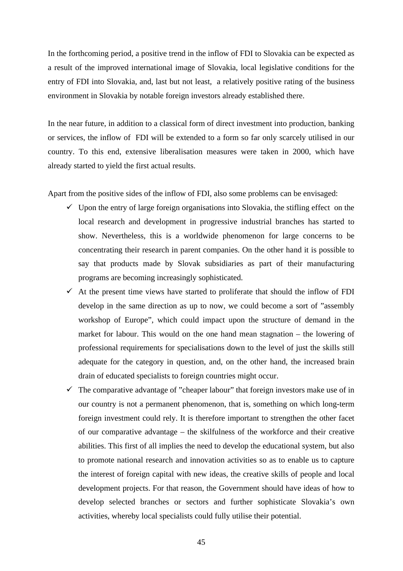In the forthcoming period, a positive trend in the inflow of FDI to Slovakia can be expected as a result of the improved international image of Slovakia, local legislative conditions for the entry of FDI into Slovakia, and, last but not least, a relatively positive rating of the business environment in Slovakia by notable foreign investors already established there.

In the near future, in addition to a classical form of direct investment into production, banking or services, the inflow of FDI will be extended to a form so far only scarcely utilised in our country. To this end, extensive liberalisation measures were taken in 2000, which have already started to yield the first actual results.

Apart from the positive sides of the inflow of FDI, also some problems can be envisaged:

- Upon the entry of large foreign organisations into Slovakia, the stifling effect on the local research and development in progressive industrial branches has started to show. Nevertheless, this is a worldwide phenomenon for large concerns to be concentrating their research in parent companies. On the other hand it is possible to say that products made by Slovak subsidiaries as part of their manufacturing programs are becoming increasingly sophisticated.
- $\checkmark$  At the present time views have started to proliferate that should the inflow of FDI develop in the same direction as up to now, we could become a sort of "assembly workshop of Europe", which could impact upon the structure of demand in the market for labour. This would on the one hand mean stagnation – the lowering of professional requirements for specialisations down to the level of just the skills still adequate for the category in question, and, on the other hand, the increased brain drain of educated specialists to foreign countries might occur.
- The comparative advantage of "cheaper labour" that foreign investors make use of in our country is not a permanent phenomenon, that is, something on which long-term foreign investment could rely. It is therefore important to strengthen the other facet of our comparative advantage – the skilfulness of the workforce and their creative abilities. This first of all implies the need to develop the educational system, but also to promote national research and innovation activities so as to enable us to capture the interest of foreign capital with new ideas, the creative skills of people and local development projects. For that reason, the Government should have ideas of how to develop selected branches or sectors and further sophisticate Slovakia's own activities, whereby local specialists could fully utilise their potential.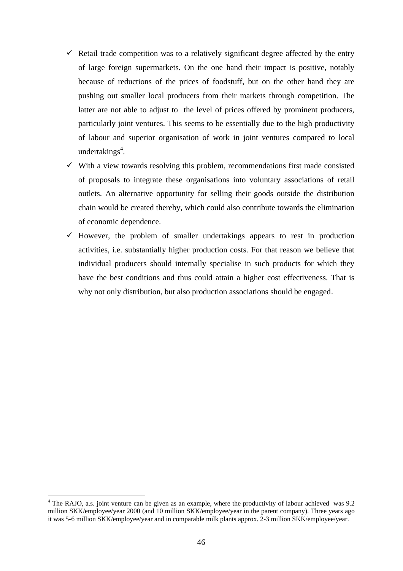- $\checkmark$  Retail trade competition was to a relatively significant degree affected by the entry of large foreign supermarkets. On the one hand their impact is positive, notably because of reductions of the prices of foodstuff, but on the other hand they are pushing out smaller local producers from their markets through competition. The latter are not able to adjust to the level of prices offered by prominent producers, particularly joint ventures. This seems to be essentially due to the high productivity of labour and superior organisation of work in joint ventures compared to local undertakings<sup>4</sup>.
- With a view towards resolving this problem, recommendations first made consisted of proposals to integrate these organisations into voluntary associations of retail outlets. An alternative opportunity for selling their goods outside the distribution chain would be created thereby, which could also contribute towards the elimination of economic dependence.
- However, the problem of smaller undertakings appears to rest in production activities, i.e. substantially higher production costs. For that reason we believe that individual producers should internally specialise in such products for which they have the best conditions and thus could attain a higher cost effectiveness. That is why not only distribution, but also production associations should be engaged.

 $\overline{a}$ 

<sup>&</sup>lt;sup>4</sup> The RAJO, a.s. joint venture can be given as an example, where the productivity of labour achieved was 9.2 million SKK/employee/year 2000 (and 10 million SKK/employee/year in the parent company). Three years ago it was 5-6 million SKK/employee/year and in comparable milk plants approx. 2-3 million SKK/employee/year.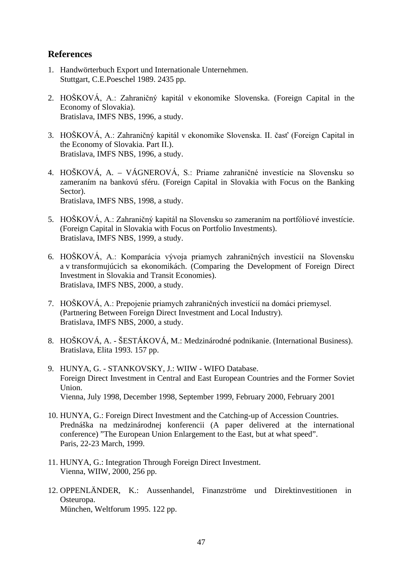# **References**

- 1. Handwörterbuch Export und Internationale Unternehmen. Stuttgart, C.E.Poeschel 1989. 2435 pp.
- 2. HOŠKOVÁ, A.: Zahraničný kapitál v ekonomike Slovenska. (Foreign Capital in the Economy of Slovakia). Bratislava, IMFS NBS, 1996, a study.
- 3. HOŠKOVÁ, A.: Zahraničný kapitál v ekonomike Slovenska. II. časť (Foreign Capital in the Economy of Slovakia. Part II.). Bratislava, IMFS NBS, 1996, a study.
- 4. HOŠKOVÁ, A. VÁGNEROVÁ, S.: Priame zahraničné investície na Slovensku so zameraním na bankovú sféru. (Foreign Capital in Slovakia with Focus on the Banking Sector). Bratislava, IMFS NBS, 1998, a study.
- 5. HOŠKOVÁ, A.: Zahraničný kapitál na Slovensku so zameraním na portfóliové investície. (Foreign Capital in Slovakia with Focus on Portfolio Investments). Bratislava, IMFS NBS, 1999, a study.
- 6. HOŠKOVÁ, A.: Komparácia vývoja priamych zahraničných investícií na Slovensku a v transformujúcich sa ekonomikách. (Comparing the Development of Foreign Direct Investment in Slovakia and Transit Economies). Bratislava, IMFS NBS, 2000, a study.
- 7. HOŠKOVÁ, A.: Prepojenie priamych zahraničných investícií na domáci priemysel. (Partnering Between Foreign Direct Investment and Local Industry). Bratislava, IMFS NBS, 2000, a study.
- 8. HOŠKOVÁ, A. ŠESTÁKOVÁ, M.: Medzinárodné podnikanie. (International Business). Bratislava, Elita 1993. 157 pp.
- 9. HUNYA, G. STANKOVSKY, J.: WIIW WIFO Database. Foreign Direct Investment in Central and East European Countries and the Former Soviet Union. Vienna, July 1998, December 1998, September 1999, February 2000, February 2001
- 10. HUNYA, G.: Foreign Direct Investment and the Catching-up of Accession Countries. Prednáška na medzinárodnej konferencii (A paper delivered at the international conference) "The European Union Enlargement to the East, but at what speed". Paris, 22-23 March, 1999.
- 11. HUNYA, G.: Integration Through Foreign Direct Investment. Vienna, WIIW, 2000, 256 pp.
- 12. OPPENLÄNDER, K.: Aussenhandel, Finanzströme und Direktinvestitionen in Osteuropa. München, Weltforum 1995. 122 pp.